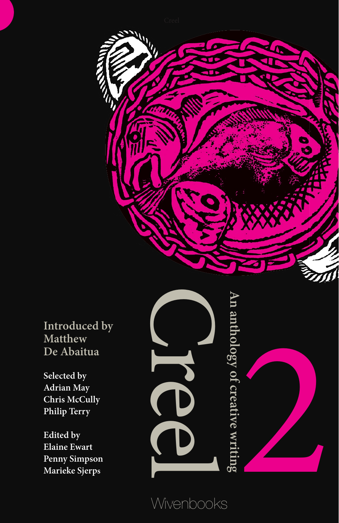

**Introduced by Matthew De Abaitua** 

**Selected by Adrian May Chris McCully Philip Terry** 

**Edited by Elaine Ewart Penny Simpson Marieke Sjerps**



Wivenbooks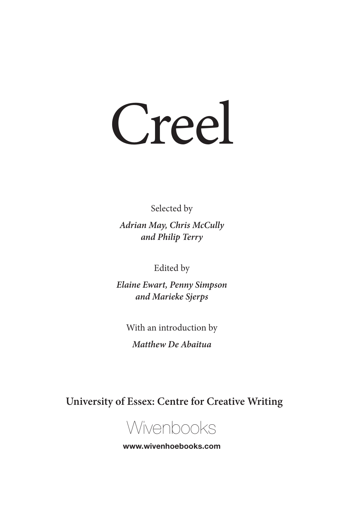# Creel

Selected by *Adrian May, Chris McCully and Philip Terry* 

Edited by

*Elaine Ewart, Penny Simpson and Marieke Sjerps*

With an introduction by

*Matthew De Abaitua* 

 **University of Essex: Centre for Creative Writing**



**www.wivenhoebooks.com**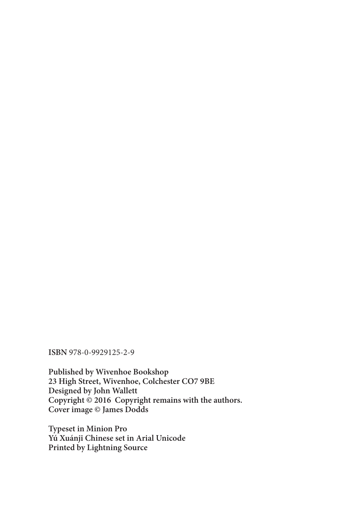**ISBN** 978-0-9929125-2-9

**Published by Wivenhoe Bookshop 23 High Street, Wivenhoe, Colchester CO7 9BE Designed by John Wallett Copyright © 2016 Copyright remains with the authors. Cover image © James Dodds**

**Typeset in Minion Pro Yú Xuánjī Chinese set in Arial Unicode Printed by Lightning Source**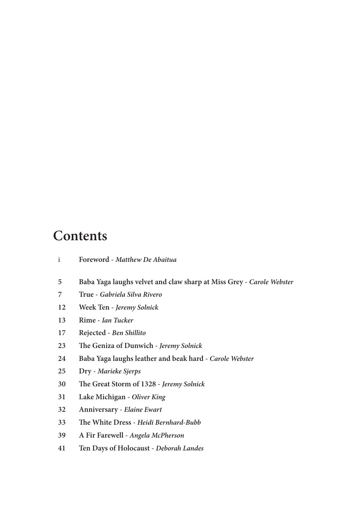# **Contents**

- **Baba Yaga laughs velvet and claw sharp at Miss Grey** *Carole Webster*
- **True** *Gabriela Silva Rivero*
- **Week Ten** *Jeremy Solnick*
- **Rime** *Ian Tucker*
- **Rejected** *Ben Shillito*
- **The Geniza of Dunwich** *Jeremy Solnick*
- **Baba Yaga laughs leather and beak hard** *Carole Webster*
- **Dry** *Marieke Sjerps*
- **The Great Storm of 1328** *Jeremy Solnick*
- **Lake Michigan** *Oliver King*
- **Anniversary** *Elaine Ewart*
- **The White Dress** *Heidi Bernhard-Bubb*
- **A Fir Farewell** *Angela McPherson*
- **Ten Days of Holocaust** *Deborah Landes*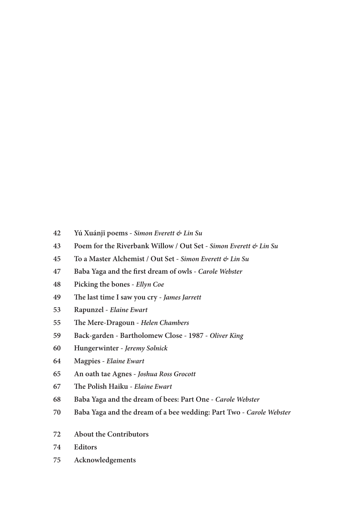- **Yú Xuánjī poems** *Simon Everett & Lin Su*
- **Poem for the Riverbank Willow / Out Set** *Simon Everett & Lin Su*
- **To a Master Alchemist / Out Set** *Simon Everett & Lin Su*
- **Baba Yaga and the first dream of owls** *Carole Webster*
- **Picking the bones** *Ellyn Coe*
- **The last time I saw you cry** *James Jarrett*
- **Rapunzel** *Elaine Ewart*
- **The Mere-Dragoun** *Helen Chambers*
- **Back-garden Bartholomew Close 1987** *Oliver King*
- **Hungerwinter** *Jeremy Solnick*
- **Magpies** *Elaine Ewart*
- **An oath tae Agnes** *Joshua Ross Grocott*
- **The Polish Haiku** *Elaine Ewart*
- **Baba Yaga and the dream of bees: Part One** *Carole Webster*
- **Baba Yaga and the dream of a bee wedding: Part Two** *Carole Webster*
- **About the Contributors**
- **Editors**
- **Acknowledgements**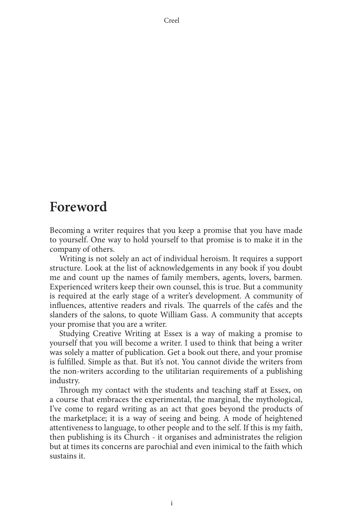## **Foreword**

Becoming a writer requires that you keep a promise that you have made to yourself. One way to hold yourself to that promise is to make it in the company of others.

Writing is not solely an act of individual heroism. It requires a support structure. Look at the list of acknowledgements in any book if you doubt me and count up the names of family members, agents, lovers, barmen. Experienced writers keep their own counsel, this is true. But a community is required at the early stage of a writer's development. A community of influences, attentive readers and rivals. The quarrels of the cafés and the slanders of the salons, to quote William Gass. A community that accepts your promise that you are a writer.

Studying Creative Writing at Essex is a way of making a promise to yourself that you will become a writer. I used to think that being a writer was solely a matter of publication. Get a book out there, and your promise is fulfilled. Simple as that. But it's not. You cannot divide the writers from the non-writers according to the utilitarian requirements of a publishing industry.

Through my contact with the students and teaching staff at Essex, on a course that embraces the experimental, the marginal, the mythological, I've come to regard writing as an act that goes beyond the products of the marketplace; it is a way of seeing and being. A mode of heightened attentiveness to language, to other people and to the self. If this is my faith, then publishing is its Church - it organises and administrates the religion but at times its concerns are parochial and even inimical to the faith which sustains it.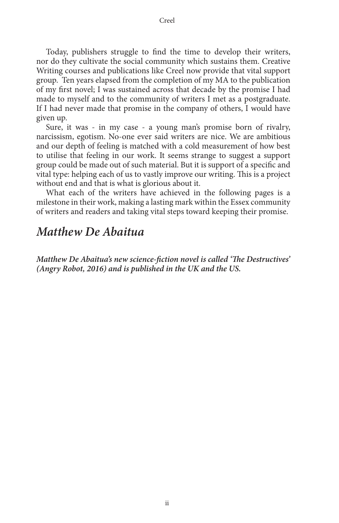Today, publishers struggle to find the time to develop their writers, nor do they cultivate the social community which sustains them. Creative Writing courses and publications like Creel now provide that vital support group. Ten years elapsed from the completion of my MA to the publication of my first novel; I was sustained across that decade by the promise I had made to myself and to the community of writers I met as a postgraduate. If I had never made that promise in the company of others, I would have given up.

Sure, it was - in my case - a young man's promise born of rivalry, narcissism, egotism. No-one ever said writers are nice. We are ambitious and our depth of feeling is matched with a cold measurement of how best to utilise that feeling in our work. It seems strange to suggest a support group could be made out of such material. But it is support of a specific and vital type: helping each of us to vastly improve our writing. This is a project without end and that is what is glorious about it.

What each of the writers have achieved in the following pages is a milestone in their work, making a lasting mark within the Essex community of writers and readers and taking vital steps toward keeping their promise.

## *Matthew De Abaitua*

*Matthew De Abaitua's new science-fiction novel is called 'The Destructives' (Angry Robot, 2016) and is published in the UK and the US.*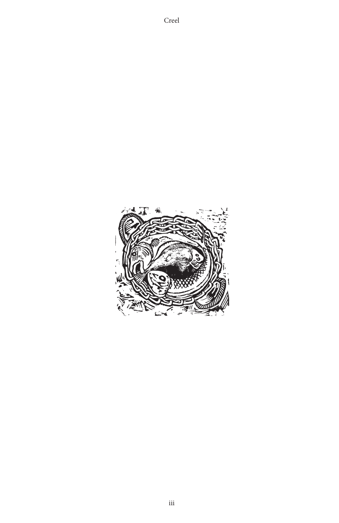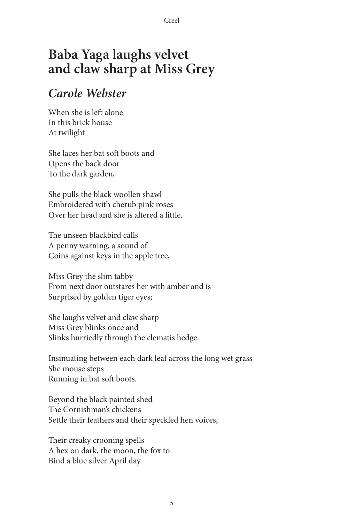# **Baba Yaga laughs velvet and claw sharp at Miss Grey**

## *Carole Webster*

When she is left alone In this brick house At twilight

She laces her bat soft boots and Opens the back door To the dark garden,

She pulls the black woollen shawl Embroidered with cherub pink roses Over her head and she is altered a little.

The unseen blackbird calls A penny warning, a sound of Coins against keys in the apple tree,

Miss Grey the slim tabby From next door outstares her with amber and is Surprised by golden tiger eyes;

She laughs velvet and claw sharp Miss Grey blinks once and Slinks hurriedly through the clematis hedge.

Insinuating between each dark leaf across the long wet grass She mouse steps Running in bat soft boots.

Beyond the black painted shed The Cornishman's chickens Settle their feathers and their speckled hen voices,

Their creaky crooning spells A hex on dark, the moon, the fox to Bind a blue silver April day.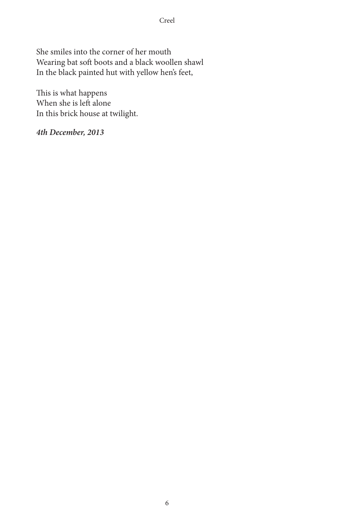She smiles into the corner of her mouth Wearing bat soft boots and a black woollen shawl In the black painted hut with yellow hen's feet,

This is what happens When she is left alone In this brick house at twilight.

*4th December, 2013*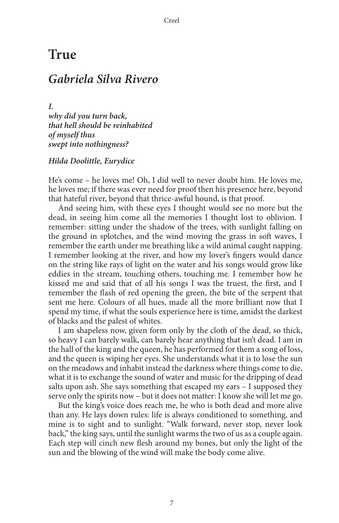## **True**

## *Gabriela Silva Rivero*

*I.*

*why did you turn back, that hell should be reinhabited of myself thus swept into nothingness?*

#### *Hilda Doolittle, Eurydice*

He's come – he loves me! Oh, I did well to never doubt him. He loves me, he loves me; if there was ever need for proof then his presence here, beyond that hateful river, beyond that thrice-awful hound, is that proof.

And seeing him, with these eyes I thought would see no more but the dead, in seeing him come all the memories I thought lost to oblivion. I remember: sitting under the shadow of the trees, with sunlight falling on the ground in splotches, and the wind moving the grass in soft waves, I remember the earth under me breathing like a wild animal caught napping. I remember looking at the river, and how my lover's fingers would dance on the string like rays of light on the water and his songs would grow like eddies in the stream, touching others, touching me. I remember how he kissed me and said that of all his songs I was the truest, the first, and I remember the flash of red opening the green, the bite of the serpent that sent me here. Colours of all hues, made all the more brilliant now that I spend my time, if what the souls experience here is time, amidst the darkest of blacks and the palest of whites.

I am shapeless now, given form only by the cloth of the dead, so thick, so heavy I can barely walk, can barely hear anything that isn't dead. I am in the hall of the king and the queen, he has performed for them a song of loss, and the queen is wiping her eyes. She understands what it is to lose the sun on the meadows and inhabit instead the darkness where things come to die, what it is to exchange the sound of water and music for the dripping of dead salts upon ash. She says something that escaped my ears – I supposed they serve only the spirits now – but it does not matter: I know she will let me go.

But the king's voice does reach me, he who is both dead and more alive than any. He lays down rules: life is always conditioned to something, and mine is to sight and to sunlight. "Walk forward, never stop, never look back," the king says, until the sunlight warms the two of us as a couple again. Each step will cinch new flesh around my bones, but only the light of the sun and the blowing of the wind will make the body come alive.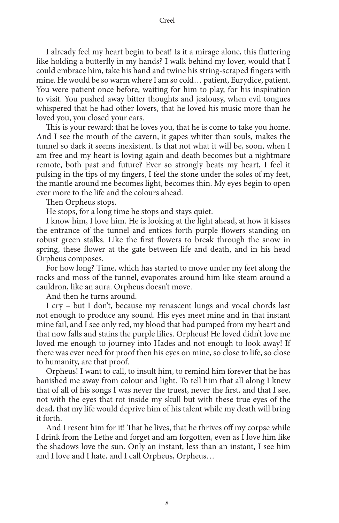I already feel my heart begin to beat! Is it a mirage alone, this fluttering like holding a butterfly in my hands? I walk behind my lover, would that I could embrace him, take his hand and twine his string-scraped fingers with mine. He would be so warm where I am so cold… patient, Eurydice, patient. You were patient once before, waiting for him to play, for his inspiration to visit. You pushed away bitter thoughts and jealousy, when evil tongues whispered that he had other lovers, that he loved his music more than he loved you, you closed your ears.

This is your reward: that he loves you, that he is come to take you home. And I see the mouth of the cavern, it gapes whiter than souls, makes the tunnel so dark it seems inexistent. Is that not what it will be, soon, when I am free and my heart is loving again and death becomes but a nightmare remote, both past and future? Ever so strongly beats my heart, I feel it pulsing in the tips of my fingers, I feel the stone under the soles of my feet, the mantle around me becomes light, becomes thin. My eyes begin to open ever more to the life and the colours ahead.

Then Orpheus stops.

He stops, for a long time he stops and stays quiet.

I know him, I love him. He is looking at the light ahead, at how it kisses the entrance of the tunnel and entices forth purple flowers standing on robust green stalks. Like the first flowers to break through the snow in spring, these flower at the gate between life and death, and in his head Orpheus composes.

For how long? Time, which has started to move under my feet along the rocks and moss of the tunnel, evaporates around him like steam around a cauldron, like an aura. Orpheus doesn't move.

And then he turns around.

I cry – but I don't, because my renascent lungs and vocal chords last not enough to produce any sound. His eyes meet mine and in that instant mine fail, and I see only red, my blood that had pumped from my heart and that now falls and stains the purple lilies. Orpheus! He loved didn't love me loved me enough to journey into Hades and not enough to look away! If there was ever need for proof then his eyes on mine, so close to life, so close to humanity, are that proof.

Orpheus! I want to call, to insult him, to remind him forever that he has banished me away from colour and light. To tell him that all along I knew that of all of his songs I was never the truest, never the first, and that I see, not with the eyes that rot inside my skull but with these true eyes of the dead, that my life would deprive him of his talent while my death will bring it forth.

And I resent him for it! That he lives, that he thrives off my corpse while I drink from the Lethe and forget and am forgotten, even as I love him like the shadows love the sun. Only an instant, less than an instant, I see him and I love and I hate, and I call Orpheus, Orpheus…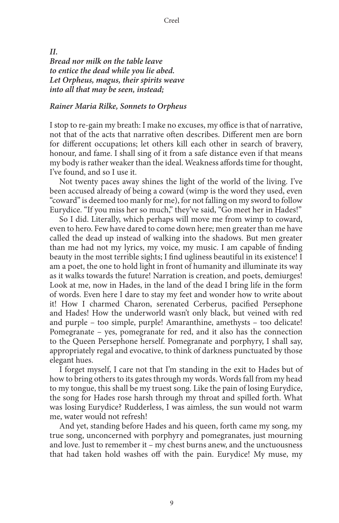*II. Bread nor milk on the table leave to entice the dead while you lie abed. Let Orpheus, magus, their spirits weave into all that may be seen, instead;*

#### *Rainer Maria Rilke, Sonnets to Orpheus*

I stop to re-gain my breath: I make no excuses, my office is that of narrative, not that of the acts that narrative often describes. Different men are born for different occupations; let others kill each other in search of bravery, honour, and fame. I shall sing of it from a safe distance even if that means my body is rather weaker than the ideal. Weakness affords time for thought, I've found, and so I use it.

Not twenty paces away shines the light of the world of the living. I've been accused already of being a coward (wimp is the word they used, even "coward" is deemed too manly for me), for not falling on my sword to follow Eurydice. "If you miss her so much," they've said, "Go meet her in Hades!"

So I did. Literally, which perhaps will move me from wimp to coward, even to hero. Few have dared to come down here; men greater than me have called the dead up instead of walking into the shadows. But men greater than me had not my lyrics, my voice, my music. I am capable of finding beauty in the most terrible sights; I find ugliness beautiful in its existence! I am a poet, the one to hold light in front of humanity and illuminate its way as it walks towards the future! Narration is creation, and poets, demiurges! Look at me, now in Hades, in the land of the dead I bring life in the form of words. Even here I dare to stay my feet and wonder how to write about it! How I charmed Charon, serenated Cerberus, pacified Persephone and Hades! How the underworld wasn't only black, but veined with red and purple – too simple, purple! Amaranthine, amethysts – too delicate! Pomegranate – yes, pomegranate for red, and it also has the connection to the Queen Persephone herself. Pomegranate and porphyry, I shall say, appropriately regal and evocative, to think of darkness punctuated by those elegant hues.

I forget myself, I care not that I'm standing in the exit to Hades but of how to bring others to its gates through my words. Words fall from my head to my tongue, this shall be my truest song. Like the pain of losing Eurydice, the song for Hades rose harsh through my throat and spilled forth. What was losing Eurydice? Rudderless, I was aimless, the sun would not warm me, water would not refresh!

And yet, standing before Hades and his queen, forth came my song, my true song, unconcerned with porphyry and pomegranates, just mourning and love. Just to remember it – my chest burns anew, and the unctuousness that had taken hold washes off with the pain. Eurydice! My muse, my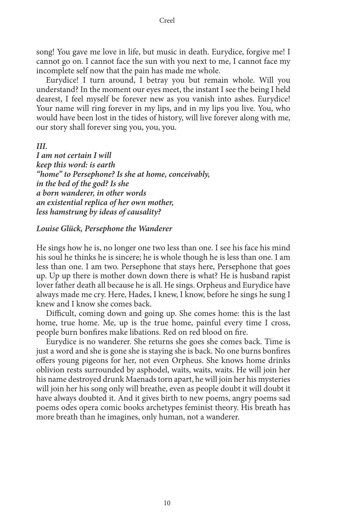song! You gave me love in life, but music in death. Eurydice, forgive me! I cannot go on. I cannot face the sun with you next to me, I cannot face my incomplete self now that the pain has made me whole.

Eurydice! I turn around, I betray you but remain whole. Will you understand? In the moment our eyes meet, the instant I see the being I held dearest, I feel myself be forever new as you vanish into ashes. Eurydice! Your name will ring forever in my lips, and in my lips you live. You, who would have been lost in the tides of history, will live forever along with me, our story shall forever sing you, you, you.

*III.*

*I am not certain I will keep this word: is earth "home" to Persephone? Is she at home, conceivably, in the bed of the god? Is she a born wanderer, in other words an existential replica of her own mother, less hamstrung by ideas of causality?*

#### *Louise Glück, Persephone the Wanderer*

He sings how he is, no longer one two less than one. I see his face his mind his soul he thinks he is sincere; he is whole though he is less than one. I am less than one. I am two. Persephone that stays here, Persephone that goes up. Up up there is mother down down there is what? He is husband rapist lover father death all because he is all. He sings. Orpheus and Eurydice have always made me cry. Here, Hades, I knew, I know, before he sings he sung I knew and I know she comes back.

Difficult, coming down and going up. She comes home: this is the last home, true home. Me, up is the true home, painful every time I cross, people burn bonfires make libations. Red on red blood on fire.

Eurydice is no wanderer. She returns she goes she comes back. Time is just a word and she is gone she is staying she is back. No one burns bonfires offers young pigeons for her, not even Orpheus. She knows home drinks oblivion rests surrounded by asphodel, waits, waits, waits. He will join her his name destroyed drunk Maenads torn apart, he will join her his mysteries will join her his song only will breathe, even as people doubt it will doubt it have always doubted it. And it gives birth to new poems, angry poems sad poems odes opera comic books archetypes feminist theory. His breath has more breath than he imagines, only human, not a wanderer.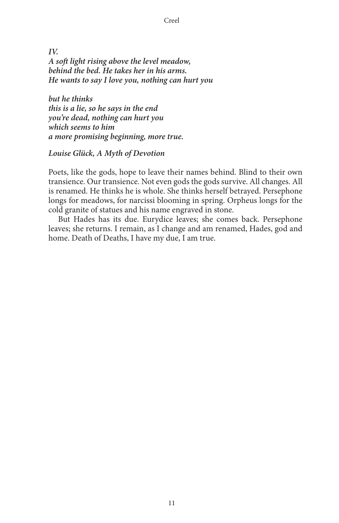*IV. A soft light rising above the level meadow, behind the bed. He takes her in his arms. He wants to say I love you, nothing can hurt you*

*but he thinks this is a lie, so he says in the end you're dead, nothing can hurt you which seems to him a more promising beginning, more true.*

#### *Louise Glück, A Myth of Devotion*

Poets, like the gods, hope to leave their names behind. Blind to their own transience. Our transience. Not even gods the gods survive. All changes. All is renamed. He thinks he is whole. She thinks herself betrayed. Persephone longs for meadows, for narcissi blooming in spring. Orpheus longs for the cold granite of statues and his name engraved in stone.

But Hades has its due. Eurydice leaves; she comes back. Persephone leaves; she returns. I remain, as I change and am renamed, Hades, god and home. Death of Deaths, I have my due, I am true.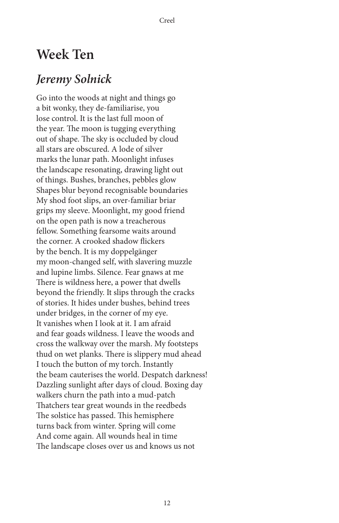## **Week Ten**

## *Jeremy Solnick*

Go into the woods at night and things go a bit wonky, they de-familiarise, you lose control. It is the last full moon of the year. The moon is tugging everything out of shape. The sky is occluded by cloud all stars are obscured. A lode of silver marks the lunar path. Moonlight infuses the landscape resonating, drawing light out of things. Bushes, branches, pebbles glow Shapes blur beyond recognisable boundaries My shod foot slips, an over-familiar briar grips my sleeve. Moonlight, my good friend on the open path is now a treacherous fellow. Something fearsome waits around the corner. A crooked shadow flickers by the bench. It is my doppelgänger my moon-changed self, with slavering muzzle and lupine limbs. Silence. Fear gnaws at me There is wildness here, a power that dwells beyond the friendly. It slips through the cracks of stories. It hides under bushes, behind trees under bridges, in the corner of my eye. It vanishes when I look at it. I am afraid and fear goads wildness. I leave the woods and cross the walkway over the marsh. My footsteps thud on wet planks. There is slippery mud ahead I touch the button of my torch. Instantly the beam cauterises the world. Despatch darkness! Dazzling sunlight after days of cloud. Boxing day walkers churn the path into a mud-patch Thatchers tear great wounds in the reedbeds The solstice has passed. This hemisphere turns back from winter. Spring will come And come again. All wounds heal in time The landscape closes over us and knows us not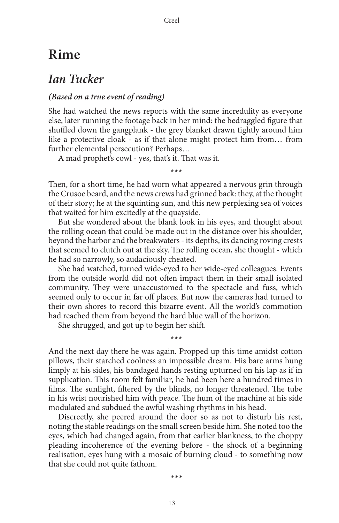## **Rime**

## *Ian Tucker*

#### *(Based on a true event of reading)*

She had watched the news reports with the same incredulity as everyone else, later running the footage back in her mind: the bedraggled figure that shuffled down the gangplank - the grey blanket drawn tightly around him like a protective cloak - as if that alone might protect him from… from further elemental persecution? Perhaps…

A mad prophet's cowl - yes, that's it. That was it.

Then, for a short time, he had worn what appeared a nervous grin through the Crusoe beard, and the news crews had grinned back: they, at the thought of their story; he at the squinting sun, and this new perplexing sea of voices that waited for him excitedly at the quayside.

\*\*\*

But she wondered about the blank look in his eyes, and thought about the rolling ocean that could be made out in the distance over his shoulder, beyond the harbor and the breakwaters - its depths, its dancing roving crests that seemed to clutch out at the sky. The rolling ocean, she thought - which he had so narrowly, so audaciously cheated.

She had watched, turned wide-eyed to her wide-eyed colleagues. Events from the outside world did not often impact them in their small isolated community. They were unaccustomed to the spectacle and fuss, which seemed only to occur in far off places. But now the cameras had turned to their own shores to record this bizarre event. All the world's commotion had reached them from beyond the hard blue wall of the horizon.

She shrugged, and got up to begin her shift.

And the next day there he was again. Propped up this time amidst cotton pillows, their starched coolness an impossible dream. His bare arms hung limply at his sides, his bandaged hands resting upturned on his lap as if in supplication. This room felt familiar, he had been here a hundred times in films. The sunlight, filtered by the blinds, no longer threatened. The tube in his wrist nourished him with peace. The hum of the machine at his side modulated and subdued the awful washing rhythms in his head.

\*\*\*

Discreetly, she peered around the door so as not to disturb his rest, noting the stable readings on the small screen beside him. She noted too the eyes, which had changed again, from that earlier blankness, to the choppy pleading incoherence of the evening before - the shock of a beginning realisation, eyes hung with a mosaic of burning cloud - to something now that she could not quite fathom.

\*\*\*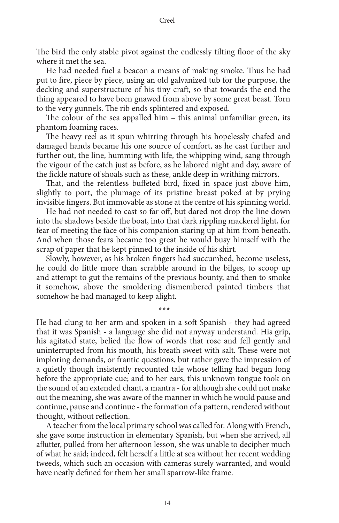The bird the only stable pivot against the endlessly tilting floor of the sky where it met the sea.

He had needed fuel a beacon a means of making smoke. Thus he had put to fire, piece by piece, using an old galvanized tub for the purpose, the decking and superstructure of his tiny craft, so that towards the end the thing appeared to have been gnawed from above by some great beast. Torn to the very gunnels. The rib ends splintered and exposed.

The colour of the sea appalled him – this animal unfamiliar green, its phantom foaming races.

The heavy reel as it spun whirring through his hopelessly chafed and damaged hands became his one source of comfort, as he cast further and further out, the line, humming with life, the whipping wind, sang through the vigour of the catch just as before, as he labored night and day, aware of the fickle nature of shoals such as these, ankle deep in writhing mirrors.

That, and the relentless buffeted bird, fixed in space just above him, slightly to port, the plumage of its pristine breast poked at by prying invisible fingers. But immovable as stone at the centre of his spinning world.

He had not needed to cast so far off, but dared not drop the line down into the shadows beside the boat, into that dark rippling mackerel light, for fear of meeting the face of his companion staring up at him from beneath. And when those fears became too great he would busy himself with the scrap of paper that he kept pinned to the inside of his shirt.

Slowly, however, as his broken fingers had succumbed, become useless, he could do little more than scrabble around in the bilges, to scoop up and attempt to gut the remains of the previous bounty, and then to smoke it somehow, above the smoldering dismembered painted timbers that somehow he had managed to keep alight.

\*\*\*

He had clung to her arm and spoken in a soft Spanish - they had agreed that it was Spanish - a language she did not anyway understand. His grip, his agitated state, belied the flow of words that rose and fell gently and uninterrupted from his mouth, his breath sweet with salt. These were not imploring demands, or frantic questions, but rather gave the impression of a quietly though insistently recounted tale whose telling had begun long before the appropriate cue; and to her ears, this unknown tongue took on the sound of an extended chant, a mantra - for although she could not make out the meaning, she was aware of the manner in which he would pause and continue, pause and continue - the formation of a pattern, rendered without thought, without reflection.

A teacher from the local primary school was called for. Along with French, she gave some instruction in elementary Spanish, but when she arrived, all aflutter, pulled from her afternoon lesson, she was unable to decipher much of what he said; indeed, felt herself a little at sea without her recent wedding tweeds, which such an occasion with cameras surely warranted, and would have neatly defined for them her small sparrow-like frame.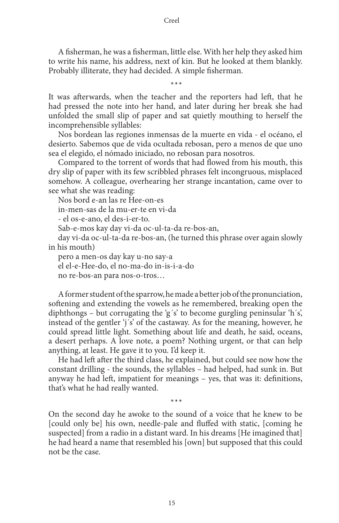A fisherman, he was a fisherman, little else. With her help they asked him to write his name, his address, next of kin. But he looked at them blankly. Probably illiterate, they had decided. A simple fisherman.

\*\*\*

It was afterwards, when the teacher and the reporters had left, that he had pressed the note into her hand, and later during her break she had unfolded the small slip of paper and sat quietly mouthing to herself the incomprehensible syllables:

Nos bordean las regiones inmensas de la muerte en vida - el océano, el desierto. Sabemos que de vida ocultada rebosan, pero a menos de que uno sea el elegido, el nómado iniciado, no rebosan para nosotros.

Compared to the torrent of words that had flowed from his mouth, this dry slip of paper with its few scribbled phrases felt incongruous, misplaced somehow. A colleague, overhearing her strange incantation, came over to see what she was reading:

Nos bord e-an las re Hee-on-es

in-men-sas de la mu-er-te en vi-da

- el os-e-ano, el des-i-er-to.

Sab-e-mos kay day vi-da oc-ul-ta-da re-bos-an,

day vi-da oc-ul-ta-da re-bos-an, (he turned this phrase over again slowly in his mouth)

pero a men-os day kay u-no say-a el el-e-Hee-do, el no-ma-do in-is-i-a-do no re-bos-an para nos-o-tros…

A former student of the sparrow, he made a better job of the pronunciation, softening and extending the vowels as he remembered, breaking open the diphthongs – but corrugating the 'g´s' to become gurgling peninsular 'h´s', instead of the gentler 'j´s' of the castaway. As for the meaning, however, he could spread little light. Something about life and death, he said, oceans, a desert perhaps. A love note, a poem? Nothing urgent, or that can help anything, at least. He gave it to you. I'd keep it.

He had left after the third class, he explained, but could see now how the constant drilling - the sounds, the syllables – had helped, had sunk in. But anyway he had left, impatient for meanings – yes, that was it: definitions, that's what he had really wanted.

\*\*\*

On the second day he awoke to the sound of a voice that he knew to be [could only be] his own, needle-pale and fluffed with static, [coming he suspected] from a radio in a distant ward. In his dreams [He imagined that] he had heard a name that resembled his [own] but supposed that this could not be the case.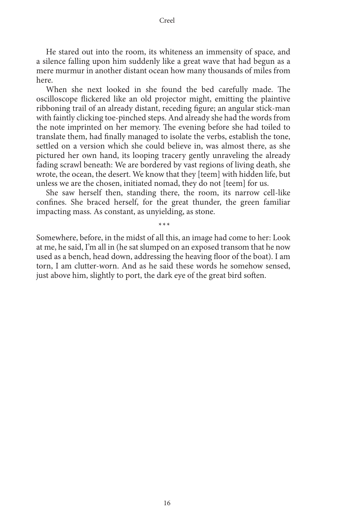He stared out into the room, its whiteness an immensity of space, and a silence falling upon him suddenly like a great wave that had begun as a mere murmur in another distant ocean how many thousands of miles from here.

When she next looked in she found the bed carefully made. The oscilloscope flickered like an old projector might, emitting the plaintive ribboning trail of an already distant, receding figure; an angular stick-man with faintly clicking toe-pinched steps. And already she had the words from the note imprinted on her memory. The evening before she had toiled to translate them, had finally managed to isolate the verbs, establish the tone, settled on a version which she could believe in, was almost there, as she pictured her own hand, its looping tracery gently unraveling the already fading scrawl beneath: We are bordered by vast regions of living death, she wrote, the ocean, the desert. We know that they [teem] with hidden life, but unless we are the chosen, initiated nomad, they do not [teem] for us.

She saw herself then, standing there, the room, its narrow cell-like confines. She braced herself, for the great thunder, the green familiar impacting mass. As constant, as unyielding, as stone.

\*\*\*

Somewhere, before, in the midst of all this, an image had come to her: Look at me, he said, I'm all in (he sat slumped on an exposed transom that he now used as a bench, head down, addressing the heaving floor of the boat). I am torn, I am clutter-worn. And as he said these words he somehow sensed, just above him, slightly to port, the dark eye of the great bird soften.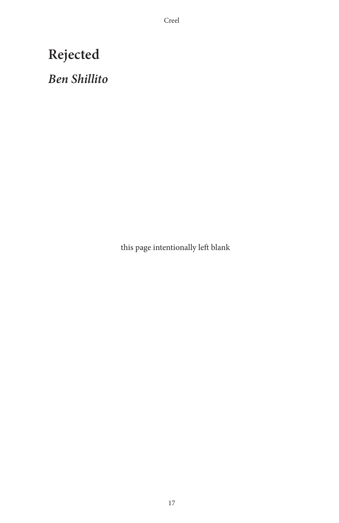# **Rejected**

*Ben Shillito*

this page intentionally left blank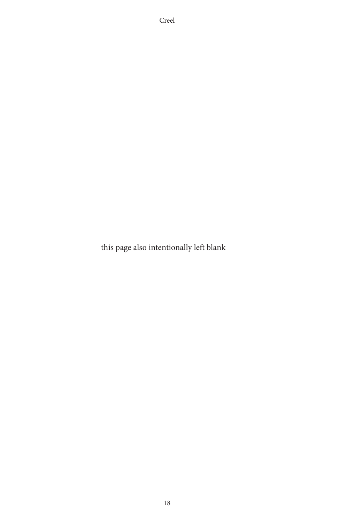this page also intentionally left blank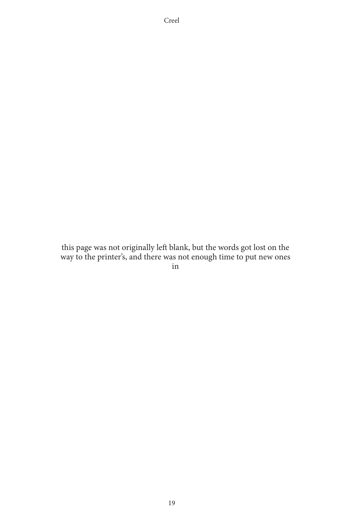this page was not originally left blank, but the words got lost on the way to the printer's, and there was not enough time to put new ones in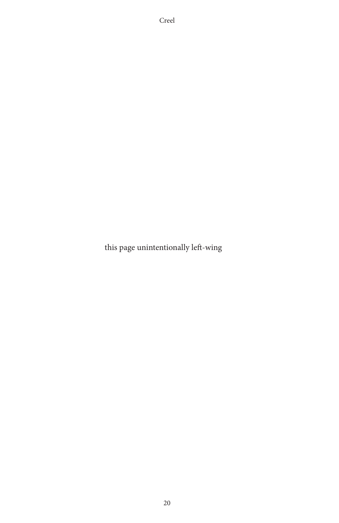this page unintentionally left-wing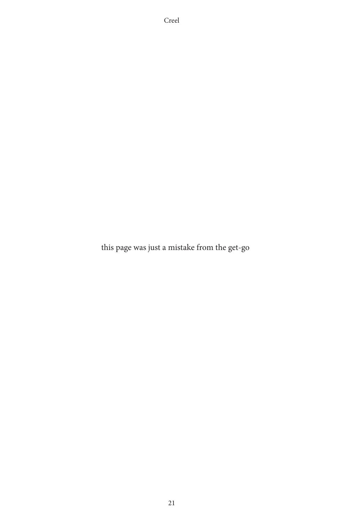this page was just a mistake from the get-go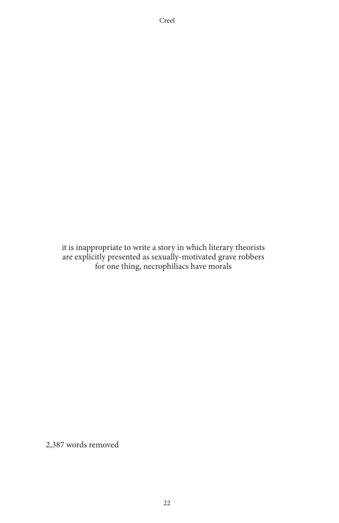it is inappropriate to write a story in which literary theorists are explicitly presented as sexually-motivated grave robbers for one thing, necrophiliacs have morals

Creel

2,387 words removed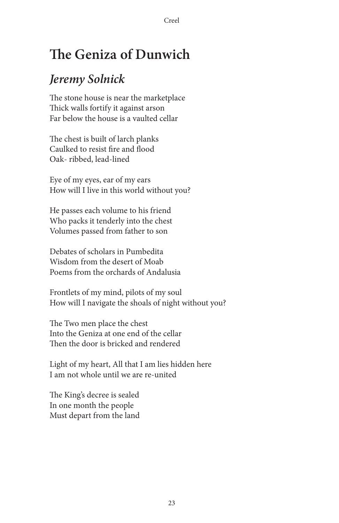# **The Geniza of Dunwich**

# *Jeremy Solnick*

The stone house is near the marketplace Thick walls fortify it against arson Far below the house is a vaulted cellar

The chest is built of larch planks Caulked to resist fire and flood Oak- ribbed, lead-lined

Eye of my eyes, ear of my ears How will I live in this world without you?

He passes each volume to his friend Who packs it tenderly into the chest Volumes passed from father to son

Debates of scholars in Pumbedita Wisdom from the desert of Moab Poems from the orchards of Andalusia

Frontlets of my mind, pilots of my soul How will I navigate the shoals of night without you?

The Two men place the chest Into the Geniza at one end of the cellar Then the door is bricked and rendered

Light of my heart, All that I am lies hidden here I am not whole until we are re-united

The King's decree is sealed In one month the people Must depart from the land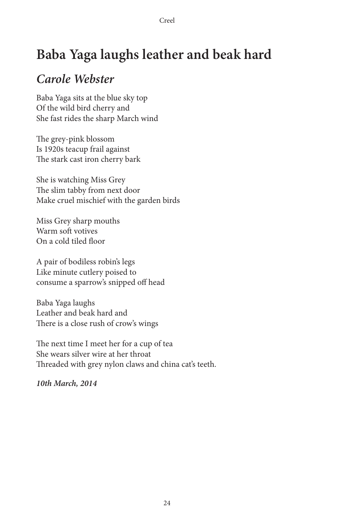#### Creel

# **Baba Yaga laughs leather and beak hard**

## *Carole Webster*

Baba Yaga sits at the blue sky top Of the wild bird cherry and She fast rides the sharp March wind

The grey-pink blossom Is 1920s teacup frail against The stark cast iron cherry bark

She is watching Miss Grey The slim tabby from next door Make cruel mischief with the garden birds

Miss Grey sharp mouths Warm soft votives On a cold tiled floor

A pair of bodiless robin's legs Like minute cutlery poised to consume a sparrow's snipped off head

Baba Yaga laughs Leather and beak hard and There is a close rush of crow's wings

The next time I meet her for a cup of tea She wears silver wire at her throat Threaded with grey nylon claws and china cat's teeth.

*10th March, 2014*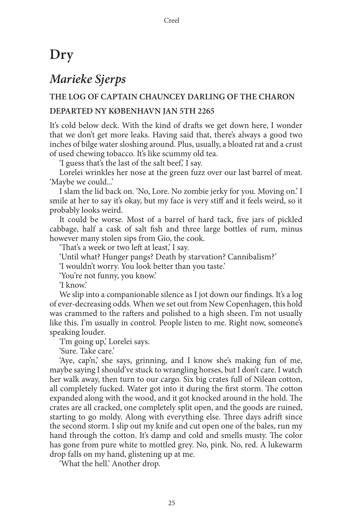# **Dry**

## *Marieke Sjerps*

### **THE LOG OF CAPTAIN CHAUNCEY DARLING OF THE CHARON**

#### **DEPARTED NY KØBENHAVN JAN 5TH 2265**

It's cold below deck. With the kind of drafts we get down here, I wonder that we don't get more leaks. Having said that, there's always a good two inches of bilge water sloshing around. Plus, usually, a bloated rat and a crust of used chewing tobacco. It's like scummy old tea.

'I guess that's the last of the salt beef,' I say.

Lorelei wrinkles her nose at the green fuzz over our last barrel of meat. 'Maybe we could...'

I slam the lid back on. 'No, Lore. No zombie jerky for you. Moving on.' I smile at her to say it's okay, but my face is very stiff and it feels weird, so it probably looks weird.

It could be worse. Most of a barrel of hard tack, five jars of pickled cabbage, half a cask of salt fish and three large bottles of rum, minus however many stolen sips from Gio, the cook.

'That's a week or two left at least,' I say.

'Until what? Hunger pangs? Death by starvation? Cannibalism?'

'I wouldn't worry. You look better than you taste.'

'You're not funny, you know.'

'I know.'

We slip into a companionable silence as I jot down our findings. It's a log of ever-decreasing odds. When we set out from New Copenhagen, this hold was crammed to the rafters and polished to a high sheen. I'm not usually like this. I'm usually in control. People listen to me. Right now, someone's speaking louder.

'I'm going up,' Lorelei says.

'Sure. Take care.'

'Aye, cap'n,' she says, grinning, and I know she's making fun of me, maybe saying I should've stuck to wrangling horses, but I don't care. I watch her walk away, then turn to our cargo. Six big crates full of Nilean cotton, all completely fucked. Water got into it during the first storm. The cotton expanded along with the wood, and it got knocked around in the hold. The crates are all cracked, one completely split open, and the goods are ruined, starting to go moldy. Along with everything else. Three days adrift since the second storm. I slip out my knife and cut open one of the bales, run my hand through the cotton. It's damp and cold and smells musty. The color has gone from pure white to mottled grey. No, pink. No, red. A lukewarm drop falls on my hand, glistening up at me.

'What the hell.' Another drop.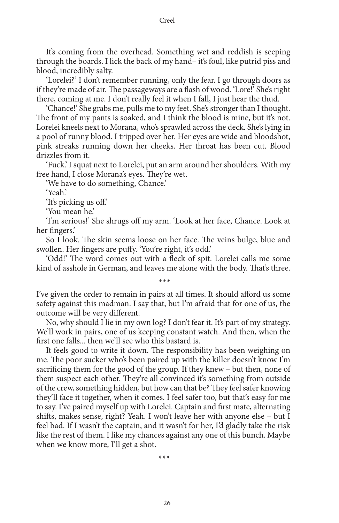It's coming from the overhead. Something wet and reddish is seeping through the boards. I lick the back of my hand– it's foul, like putrid piss and blood, incredibly salty.

'Lorelei?' I don't remember running, only the fear. I go through doors as if they're made of air. The passageways are a flash of wood. 'Lore!' She's right there, coming at me. I don't really feel it when I fall, I just hear the thud.

'Chance!' She grabs me, pulls me to my feet. She's stronger than I thought. The front of my pants is soaked, and I think the blood is mine, but it's not. Lorelei kneels next to Morana, who's sprawled across the deck. She's lying in a pool of runny blood. I tripped over her. Her eyes are wide and bloodshot, pink streaks running down her cheeks. Her throat has been cut. Blood drizzles from it.

'Fuck.' I squat next to Lorelei, put an arm around her shoulders. With my free hand, I close Morana's eyes. They're wet.

'We have to do something, Chance.'

'Yeah.'

'It's picking us off.'

'You mean he.'

'I'm serious!' She shrugs off my arm. 'Look at her face, Chance. Look at her fingers.'

So I look. The skin seems loose on her face. The veins bulge, blue and swollen. Her fingers are puffy. 'You're right, it's odd.'

'Odd!' The word comes out with a fleck of spit. Lorelei calls me some kind of asshole in German, and leaves me alone with the body. That's three.

\*\*\*

I've given the order to remain in pairs at all times. It should afford us some safety against this madman. I say that, but I'm afraid that for one of us, the outcome will be very different.

No, why should I lie in my own log? I don't fear it. It's part of my strategy. We'll work in pairs, one of us keeping constant watch. And then, when the first one falls... then we'll see who this bastard is.

It feels good to write it down. The responsibility has been weighing on me. The poor sucker who's been paired up with the killer doesn't know I'm sacrificing them for the good of the group. If they knew – but then, none of them suspect each other. They're all convinced it's something from outside of the crew, something hidden, but how can that be? They feel safer knowing they'll face it together, when it comes. I feel safer too, but that's easy for me to say. I've paired myself up with Lorelei. Captain and first mate, alternating shifts, makes sense, right? Yeah. I won't leave her with anyone else – but I feel bad. If I wasn't the captain, and it wasn't for her, I'd gladly take the risk like the rest of them. I like my chances against any one of this bunch. Maybe when we know more, I'll get a shot.

\*\*\*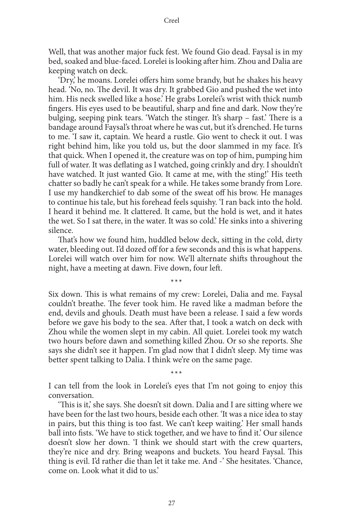Well, that was another major fuck fest. We found Gio dead. Faysal is in my bed, soaked and blue-faced. Lorelei is looking after him. Zhou and Dalia are keeping watch on deck.

'Dry,' he moans. Lorelei offers him some brandy, but he shakes his heavy head. 'No, no. The devil. It was dry. It grabbed Gio and pushed the wet into him. His neck swelled like a hose.' He grabs Lorelei's wrist with thick numb fingers. His eyes used to be beautiful, sharp and fine and dark. Now they're bulging, seeping pink tears. 'Watch the stinger. It's sharp – fast.' There is a bandage around Faysal's throat where he was cut, but it's drenched. He turns to me. 'I saw it, captain. We heard a rustle. Gio went to check it out. I was right behind him, like you told us, but the door slammed in my face. It's that quick. When I opened it, the creature was on top of him, pumping him full of water. It was deflating as I watched, going crinkly and dry. I shouldn't have watched. It just wanted Gio. It came at me, with the sting!' His teeth chatter so badly he can't speak for a while. He takes some brandy from Lore. I use my handkerchief to dab some of the sweat off his brow. He manages to continue his tale, but his forehead feels squishy. 'I ran back into the hold. I heard it behind me. It clattered. It came, but the hold is wet, and it hates the wet. So I sat there, in the water. It was so cold.' He sinks into a shivering silence.

That's how we found him, huddled below deck, sitting in the cold, dirty water, bleeding out. I'd dozed off for a few seconds and this is what happens. Lorelei will watch over him for now. We'll alternate shifts throughout the night, have a meeting at dawn. Five down, four left.

\*\*\*

Six down. This is what remains of my crew: Lorelei, Dalia and me. Faysal couldn't breathe. The fever took him. He raved like a madman before the end, devils and ghouls. Death must have been a release. I said a few words before we gave his body to the sea. After that, I took a watch on deck with Zhou while the women slept in my cabin. All quiet. Lorelei took my watch two hours before dawn and something killed Zhou. Or so she reports. She says she didn't see it happen. I'm glad now that I didn't sleep. My time was better spent talking to Dalia. I think we're on the same page.

I can tell from the look in Lorelei's eyes that I'm not going to enjoy this conversation.

\*\*\*

'This is it,' she says. She doesn't sit down. Dalia and I are sitting where we have been for the last two hours, beside each other. 'It was a nice idea to stay in pairs, but this thing is too fast. We can't keep waiting.' Her small hands ball into fists. 'We have to stick together, and we have to find it.' Our silence doesn't slow her down. 'I think we should start with the crew quarters, they're nice and dry. Bring weapons and buckets. You heard Faysal. This thing is evil. I'd rather die than let it take me. And -' She hesitates. 'Chance, come on. Look what it did to us.'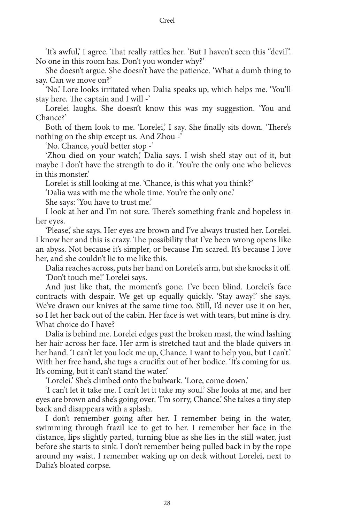'It's awful,' I agree. That really rattles her. 'But I haven't seen this "devil". No one in this room has. Don't you wonder why?'

She doesn't argue. She doesn't have the patience. 'What a dumb thing to say. Can we move on?'

'No.' Lore looks irritated when Dalia speaks up, which helps me. 'You'll stay here. The captain and I will -'

Lorelei laughs. She doesn't know this was my suggestion. 'You and Chance?'

Both of them look to me. 'Lorelei,' I say. She finally sits down. 'There's nothing on the ship except us. And Zhou -'

'No. Chance, you'd better stop -'

'Zhou died on your watch,' Dalia says. I wish she'd stay out of it, but maybe I don't have the strength to do it. 'You're the only one who believes in this monster.'

Lorelei is still looking at me. 'Chance, is this what you think?'

'Dalia was with me the whole time. You're the only one.'

She says: 'You have to trust me.'

I look at her and I'm not sure. There's something frank and hopeless in her eyes.

'Please,' she says. Her eyes are brown and I've always trusted her. Lorelei. I know her and this is crazy. The possibility that I've been wrong opens like an abyss. Not because it's simpler, or because I'm scared. It's because I love her, and she couldn't lie to me like this.

Dalia reaches across, puts her hand on Lorelei's arm, but she knocks it off. 'Don't touch me!' Lorelei says.

And just like that, the moment's gone. I've been blind. Lorelei's face contracts with despair. We get up equally quickly. 'Stay away!' she says. We've drawn our knives at the same time too. Still, I'd never use it on her, so I let her back out of the cabin. Her face is wet with tears, but mine is dry. What choice do I have?

Dalia is behind me. Lorelei edges past the broken mast, the wind lashing her hair across her face. Her arm is stretched taut and the blade quivers in her hand. 'I can't let you lock me up, Chance. I want to help you, but I can't.' With her free hand, she tugs a crucifix out of her bodice. The soming for us. It's coming, but it can't stand the water.'

'Lorelei.' She's climbed onto the bulwark. 'Lore, come down.'

'I can't let it take me. I can't let it take my soul.' She looks at me, and her eyes are brown and she's going over. 'I'm sorry, Chance.' She takes a tiny step back and disappears with a splash.

I don't remember going after her. I remember being in the water, swimming through frazil ice to get to her. I remember her face in the distance, lips slightly parted, turning blue as she lies in the still water, just before she starts to sink. I don't remember being pulled back in by the rope around my waist. I remember waking up on deck without Lorelei, next to Dalia's bloated corpse.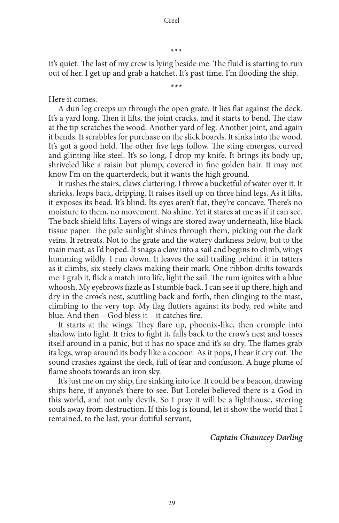\*\*\*

It's quiet. The last of my crew is lying beside me. The fluid is starting to run out of her. I get up and grab a hatchet. It's past time. I'm flooding the ship.

\*\*\*

Here it comes.

A dun leg creeps up through the open grate. It lies flat against the deck. It's a yard long. Then it lifts, the joint cracks, and it starts to bend. The claw at the tip scratches the wood. Another yard of leg. Another joint, and again it bends. It scrabbles for purchase on the slick boards. It sinks into the wood. It's got a good hold. The other five legs follow. The sting emerges, curved and glinting like steel. It's so long, I drop my knife. It brings its body up, shriveled like a raisin but plump, covered in fine golden hair. It may not know I'm on the quarterdeck, but it wants the high ground.

It rushes the stairs, claws clattering. I throw a bucketful of water over it. It shrieks, leaps back, dripping. It raises itself up on three hind legs. As it lifts, it exposes its head. It's blind. Its eyes aren't flat, they're concave. There's no moisture to them, no movement. No shine. Yet it stares at me as if it can see. The back shield lifts. Layers of wings are stored away underneath, like black tissue paper. The pale sunlight shines through them, picking out the dark veins. It retreats. Not to the grate and the watery darkness below, but to the main mast, as I'd hoped. It snags a claw into a sail and begins to climb, wings humming wildly. I run down. It leaves the sail trailing behind it in tatters as it climbs, six steely claws making their mark. One ribbon drifts towards me. I grab it, flick a match into life, light the sail. The rum ignites with a blue whoosh. My eyebrows fizzle as I stumble back. I can see it up there, high and dry in the crow's nest, scuttling back and forth, then clinging to the mast, climbing to the very top. My flag flutters against its body, red white and blue. And then – God bless it – it catches fire.

It starts at the wings. They flare up, phoenix-like, then crumple into shadow, into light. It tries to fight it, falls back to the crow's nest and tosses itself around in a panic, but it has no space and it's so dry. The flames grab its legs, wrap around its body like a cocoon. As it pops, I hear it cry out. The sound crashes against the deck, full of fear and confusion. A huge plume of flame shoots towards an iron sky.

It's just me on my ship, fire sinking into ice. It could be a beacon, drawing ships here, if anyone's there to see. But Lorelei believed there is a God in this world, and not only devils. So I pray it will be a lighthouse, steering souls away from destruction. If this log is found, let it show the world that I remained, to the last, your dutiful servant,

*Captain Chauncey Darling*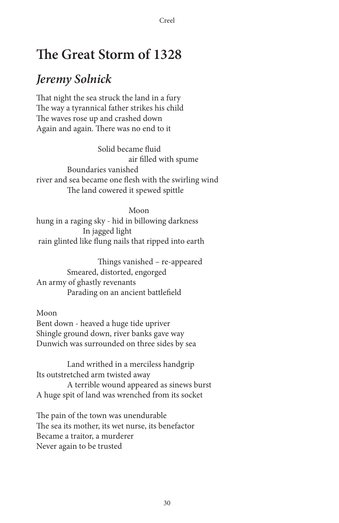# **The Great Storm of 1328**

# *Jeremy Solnick*

That night the sea struck the land in a fury The way a tyrannical father strikes his child The waves rose up and crashed down Again and again. There was no end to it

 Solid became fluid air filled with spume Boundaries vanished river and sea became one flesh with the swirling wind The land cowered it spewed spittle

 Moon hung in a raging sky - hid in billowing darkness In jagged light rain glinted like flung nails that ripped into earth

 Things vanished – re-appeared Smeared, distorted, engorged An army of ghastly revenants Parading on an ancient battlefield

Moon Bent down - heaved a huge tide upriver Shingle ground down, river banks gave way Dunwich was surrounded on three sides by sea

Land writhed in a merciless handgrip Its outstretched arm twisted away A terrible wound appeared as sinews burst A huge spit of land was wrenched from its socket

The pain of the town was unendurable The sea its mother, its wet nurse, its benefactor Became a traitor, a murderer Never again to be trusted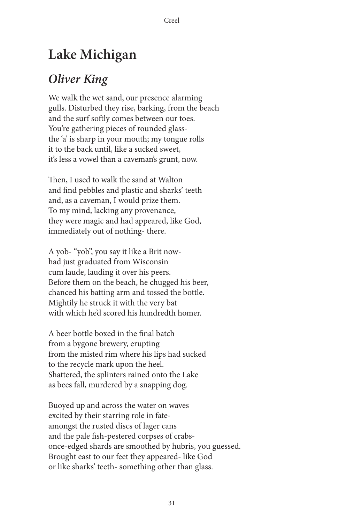## **Lake Michigan**

## *Oliver King*

We walk the wet sand, our presence alarming gulls. Disturbed they rise, barking, from the beach and the surf softly comes between our toes. You're gathering pieces of rounded glassthe 'a' is sharp in your mouth; my tongue rolls it to the back until, like a sucked sweet, it's less a vowel than a caveman's grunt, now.

Then, I used to walk the sand at Walton and find pebbles and plastic and sharks' teeth and, as a caveman, I would prize them. To my mind, lacking any provenance, they were magic and had appeared, like God, immediately out of nothing- there.

A yob- "yob", you say it like a Brit nowhad just graduated from Wisconsin cum laude, lauding it over his peers. Before them on the beach, he chugged his beer, chanced his batting arm and tossed the bottle. Mightily he struck it with the very bat with which he'd scored his hundredth homer.

A beer bottle boxed in the final batch from a bygone brewery, erupting from the misted rim where his lips had sucked to the recycle mark upon the heel. Shattered, the splinters rained onto the Lake as bees fall, murdered by a snapping dog.

Buoyed up and across the water on waves excited by their starring role in fateamongst the rusted discs of lager cans and the pale fish-pestered corpses of crabsonce-edged shards are smoothed by hubris, you guessed. Brought east to our feet they appeared- like God or like sharks' teeth- something other than glass.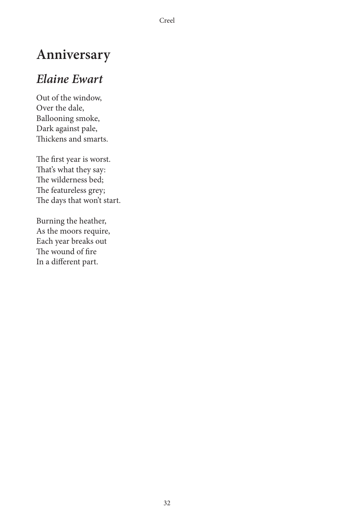Creel

## **Anniversary**

#### *Elaine Ewart*

Out of the window, Over the dale, Ballooning smoke, Dark against pale, Thickens and smarts.

The first year is worst. That's what they say: The wilderness bed; The featureless grey; The days that won't start.

Burning the heather, As the moors require, Each year breaks out The wound of fire In a different part.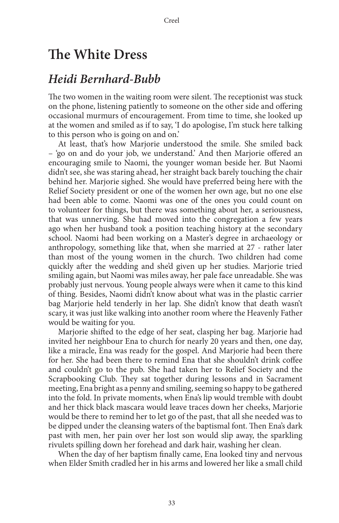#### **The White Dress**

#### *Heidi Bernhard-Bubb*

The two women in the waiting room were silent. The receptionist was stuck on the phone, listening patiently to someone on the other side and offering occasional murmurs of encouragement. From time to time, she looked up at the women and smiled as if to say, 'I do apologise, I'm stuck here talking to this person who is going on and on.'

At least, that's how Marjorie understood the smile. She smiled back – 'go on and do your job, we understand.' And then Marjorie offered an encouraging smile to Naomi, the younger woman beside her. But Naomi didn't see, she was staring ahead, her straight back barely touching the chair behind her. Marjorie sighed. She would have preferred being here with the Relief Society president or one of the women her own age, but no one else had been able to come. Naomi was one of the ones you could count on to volunteer for things, but there was something about her, a seriousness, that was unnerving. She had moved into the congregation a few years ago when her husband took a position teaching history at the secondary school. Naomi had been working on a Master's degree in archaeology or anthropology, something like that, when she married at 27 - rather later than most of the young women in the church. Two children had come quickly after the wedding and she'd given up her studies. Marjorie tried smiling again, but Naomi was miles away, her pale face unreadable. She was probably just nervous. Young people always were when it came to this kind of thing. Besides, Naomi didn't know about what was in the plastic carrier bag Marjorie held tenderly in her lap. She didn't know that death wasn't scary, it was just like walking into another room where the Heavenly Father would be waiting for you.

Marjorie shifted to the edge of her seat, clasping her bag. Marjorie had invited her neighbour Ena to church for nearly 20 years and then, one day, like a miracle, Ena was ready for the gospel. And Marjorie had been there for her. She had been there to remind Ena that she shouldn't drink coffee and couldn't go to the pub. She had taken her to Relief Society and the Scrapbooking Club. They sat together during lessons and in Sacrament meeting, Ena bright as a penny and smiling, seeming so happy to be gathered into the fold. In private moments, when Ena's lip would tremble with doubt and her thick black mascara would leave traces down her cheeks, Marjorie would be there to remind her to let go of the past, that all she needed was to be dipped under the cleansing waters of the baptismal font. Then Ena's dark past with men, her pain over her lost son would slip away, the sparkling rivulets spilling down her forehead and dark hair, washing her clean.

When the day of her baptism finally came, Ena looked tiny and nervous when Elder Smith cradled her in his arms and lowered her like a small child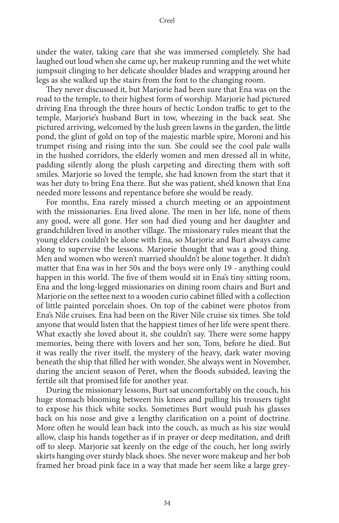under the water, taking care that she was immersed completely. She had laughed out loud when she came up, her makeup running and the wet white jumpsuit clinging to her delicate shoulder blades and wrapping around her legs as she walked up the stairs from the font to the changing room.

They never discussed it, but Marjorie had been sure that Ena was on the road to the temple, to their highest form of worship. Marjorie had pictured driving Ena through the three hours of hectic London traffic to get to the temple, Marjorie's husband Burt in tow, wheezing in the back seat. She pictured arriving, welcomed by the lush green lawns in the garden, the little pond, the glint of gold on top of the majestic marble spire, Moroni and his trumpet rising and rising into the sun. She could see the cool pale walls in the hushed corridors, the elderly women and men dressed all in white, padding silently along the plush carpeting and directing them with soft smiles. Marjorie so loved the temple, she had known from the start that it was her duty to bring Ena there. But she was patient, she'd known that Ena needed more lessons and repentance before she would be ready.

For months, Ena rarely missed a church meeting or an appointment with the missionaries. Ena lived alone. The men in her life, none of them any good, were all gone. Her son had died young and her daughter and grandchildren lived in another village. The missionary rules meant that the young elders couldn't be alone with Ena, so Marjorie and Burt always came along to supervise the lessons. Marjorie thought that was a good thing. Men and women who weren't married shouldn't be alone together. It didn't matter that Ena was in her 50s and the boys were only 19 - anything could happen in this world. The five of them would sit in Ena's tiny sitting room, Ena and the long-legged missionaries on dining room chairs and Burt and Marjorie on the settee next to a wooden curio cabinet filled with a collection of little painted porcelain shoes. On top of the cabinet were photos from Ena's Nile cruises. Ena had been on the River Nile cruise six times. She told anyone that would listen that the happiest times of her life were spent there. What exactly she loved about it, she couldn't say. There were some happy memories, being there with lovers and her son, Tom, before he died. But it was really the river itself, the mystery of the heavy, dark water moving beneath the ship that filled her with wonder. She always went in November, during the ancient season of Peret, when the floods subsided, leaving the fertile silt that promised life for another year.

During the missionary lessons, Burt sat uncomfortably on the couch, his huge stomach blooming between his knees and pulling his trousers tight to expose his thick white socks. Sometimes Burt would push his glasses back on his nose and give a lengthy clarification on a point of doctrine. More often he would lean back into the couch, as much as his size would allow, clasp his hands together as if in prayer or deep meditation, and drift off to sleep. Marjorie sat keenly on the edge of the couch, her long swirly skirts hanging over sturdy black shoes. She never wore makeup and her bob framed her broad pink face in a way that made her seem like a large grey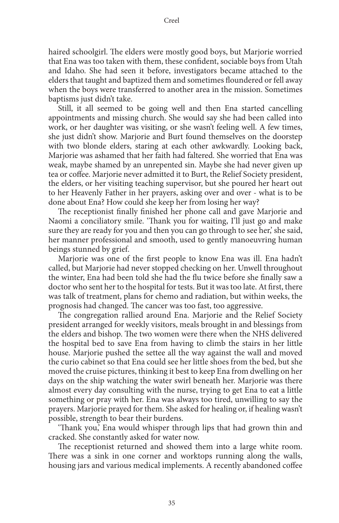haired schoolgirl. The elders were mostly good boys, but Marjorie worried that Ena was too taken with them, these confident, sociable boys from Utah and Idaho. She had seen it before, investigators became attached to the elders that taught and baptized them and sometimes floundered or fell away when the boys were transferred to another area in the mission. Sometimes baptisms just didn't take.

Still, it all seemed to be going well and then Ena started cancelling appointments and missing church. She would say she had been called into work, or her daughter was visiting, or she wasn't feeling well. A few times, she just didn't show. Marjorie and Burt found themselves on the doorstep with two blonde elders, staring at each other awkwardly. Looking back, Marjorie was ashamed that her faith had faltered. She worried that Ena was weak, maybe shamed by an unrepented sin. Maybe she had never given up tea or coffee. Marjorie never admitted it to Burt, the Relief Society president, the elders, or her visiting teaching supervisor, but she poured her heart out to her Heavenly Father in her prayers, asking over and over - what is to be done about Ena? How could she keep her from losing her way?

The receptionist finally finished her phone call and gave Marjorie and Naomi a conciliatory smile. 'Thank you for waiting, I'll just go and make sure they are ready for you and then you can go through to see her,' she said, her manner professional and smooth, used to gently manoeuvring human beings stunned by grief.

Marjorie was one of the first people to know Ena was ill. Ena hadn't called, but Marjorie had never stopped checking on her. Unwell throughout the winter, Ena had been told she had the flu twice before she finally saw a doctor who sent her to the hospital for tests. But it was too late. At first, there was talk of treatment, plans for chemo and radiation, but within weeks, the prognosis had changed. The cancer was too fast, too aggressive.

The congregation rallied around Ena. Marjorie and the Relief Society president arranged for weekly visitors, meals brought in and blessings from the elders and bishop. The two women were there when the NHS delivered the hospital bed to save Ena from having to climb the stairs in her little house. Marjorie pushed the settee all the way against the wall and moved the curio cabinet so that Ena could see her little shoes from the bed, but she moved the cruise pictures, thinking it best to keep Ena from dwelling on her days on the ship watching the water swirl beneath her. Marjorie was there almost every day consulting with the nurse, trying to get Ena to eat a little something or pray with her. Ena was always too tired, unwilling to say the prayers. Marjorie prayed for them. She asked for healing or, if healing wasn't possible, strength to bear their burdens.

'Thank you,' Ena would whisper through lips that had grown thin and cracked. She constantly asked for water now.

The receptionist returned and showed them into a large white room. There was a sink in one corner and worktops running along the walls, housing jars and various medical implements. A recently abandoned coffee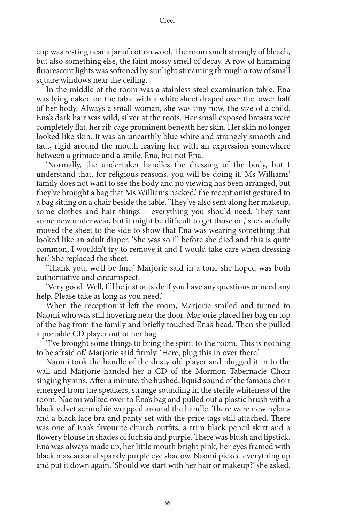cup was resting near a jar of cotton wool. The room smelt strongly of bleach, but also something else, the faint mossy smell of decay. A row of humming fluorescent lights was softened by sunlight streaming through a row of small square windows near the ceiling.

In the middle of the room was a stainless steel examination table. Ena was lying naked on the table with a white sheet draped over the lower half of her body. Always a small woman, she was tiny now, the size of a child. Ena's dark hair was wild, silver at the roots. Her small exposed breasts were completely flat, her rib cage prominent beneath her skin. Her skin no longer looked like skin. It was an unearthly blue white and strangely smooth and taut, rigid around the mouth leaving her with an expression somewhere between a grimace and a smile. Ena, but not Ena.

'Normally, the undertaker handles the dressing of the body, but I understand that, for religious reasons, you will be doing it. Ms Williams' family does not want to see the body and no viewing has been arranged, but they've brought a bag that Ms Williams packed,' the receptionist gestured to a bag sitting on a chair beside the table. 'They've also sent along her makeup, some clothes and hair things – everything you should need. They sent some new underwear, but it might be difficult to get those on,' she carefully moved the sheet to the side to show that Ena was wearing something that looked like an adult diaper. 'She was so ill before she died and this is quite common, I wouldn't try to remove it and I would take care when dressing her.' She replaced the sheet.

'Thank you, we'll be fine,' Marjorie said in a tone she hoped was both authoritative and circumspect.

'Very good. Well, I'll be just outside if you have any questions or need any help. Please take as long as you need.'

When the receptionist left the room, Marjorie smiled and turned to Naomi who was still hovering near the door. Marjorie placed her bag on top of the bag from the family and briefly touched Ena's head. Then she pulled a portable CD player out of her bag.

'I've brought some things to bring the spirit to the room. This is nothing to be afraid of,' Marjorie said firmly. 'Here, plug this in over there.'

Naomi took the handle of the dusty old player and plugged it in to the wall and Marjorie handed her a CD of the Mormon Tabernacle Choir singing hymns. After a minute, the hushed, liquid sound of the famous choir emerged from the speakers, strange sounding in the sterile whiteness of the room. Naomi walked over to Ena's bag and pulled out a plastic brush with a black velvet scrunchie wrapped around the handle. There were new nylons and a black lace bra and panty set with the price tags still attached. There was one of Ena's favourite church outfits, a trim black pencil skirt and a flowery blouse in shades of fuchsia and purple. There was blush and lipstick. Ena was always made up, her little mouth bright pink, her eyes framed with black mascara and sparkly purple eye shadow. Naomi picked everything up and put it down again. 'Should we start with her hair or makeup?' she asked.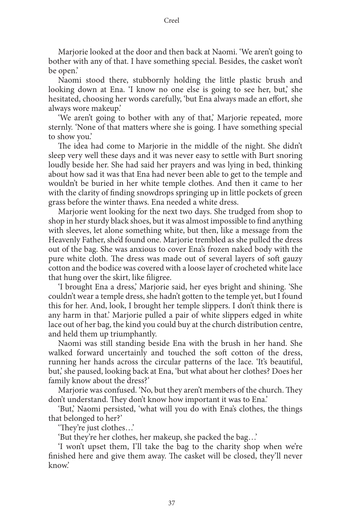Marjorie looked at the door and then back at Naomi. 'We aren't going to bother with any of that. I have something special. Besides, the casket won't be open.'

Naomi stood there, stubbornly holding the little plastic brush and looking down at Ena. 'I know no one else is going to see her, but,' she hesitated, choosing her words carefully, 'but Ena always made an effort, she always wore makeup.'

'We aren't going to bother with any of that,' Marjorie repeated, more sternly. 'None of that matters where she is going. I have something special to show you.'

The idea had come to Marjorie in the middle of the night. She didn't sleep very well these days and it was never easy to settle with Burt snoring loudly beside her. She had said her prayers and was lying in bed, thinking about how sad it was that Ena had never been able to get to the temple and wouldn't be buried in her white temple clothes. And then it came to her with the clarity of finding snowdrops springing up in little pockets of green grass before the winter thaws. Ena needed a white dress.

Marjorie went looking for the next two days. She trudged from shop to shop in her sturdy black shoes, but it was almost impossible to find anything with sleeves, let alone something white, but then, like a message from the Heavenly Father, she'd found one. Marjorie trembled as she pulled the dress out of the bag. She was anxious to cover Ena's frozen naked body with the pure white cloth. The dress was made out of several layers of soft gauzy cotton and the bodice was covered with a loose layer of crocheted white lace that hung over the skirt, like filigree.

'I brought Ena a dress,' Marjorie said, her eyes bright and shining. 'She couldn't wear a temple dress, she hadn't gotten to the temple yet, but I found this for her. And, look, I brought her temple slippers. I don't think there is any harm in that.' Marjorie pulled a pair of white slippers edged in white lace out of her bag, the kind you could buy at the church distribution centre, and held them up triumphantly.

Naomi was still standing beside Ena with the brush in her hand. She walked forward uncertainly and touched the soft cotton of the dress, running her hands across the circular patterns of the lace. 'It's beautiful, but,' she paused, looking back at Ena, 'but what about her clothes? Does her family know about the dress?'

Marjorie was confused. 'No, but they aren't members of the church. They don't understand. They don't know how important it was to Ena.'

'But,' Naomi persisted, 'what will you do with Ena's clothes, the things that belonged to her?'

'They're just clothes…'

'But they're her clothes, her makeup, she packed the bag…'

'I won't upset them, I'll take the bag to the charity shop when we're finished here and give them away. The casket will be closed, they'll never know.'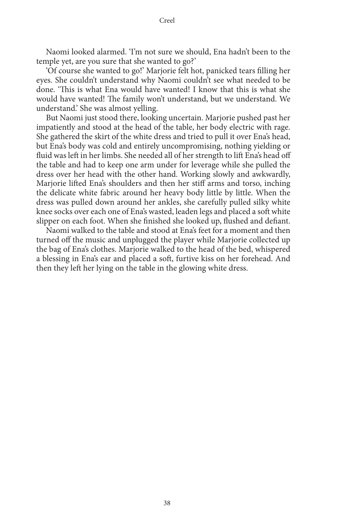Naomi looked alarmed. 'I'm not sure we should, Ena hadn't been to the temple yet, are you sure that she wanted to go?'

'Of course she wanted to go!' Marjorie felt hot, panicked tears filling her eyes. She couldn't understand why Naomi couldn't see what needed to be done. 'This is what Ena would have wanted! I know that this is what she would have wanted! The family won't understand, but we understand. We understand.' She was almost yelling.

But Naomi just stood there, looking uncertain. Marjorie pushed past her impatiently and stood at the head of the table, her body electric with rage. She gathered the skirt of the white dress and tried to pull it over Ena's head, but Ena's body was cold and entirely uncompromising, nothing yielding or fluid was left in her limbs. She needed all of her strength to lift Ena's head off the table and had to keep one arm under for leverage while she pulled the dress over her head with the other hand. Working slowly and awkwardly, Marjorie lifted Ena's shoulders and then her stiff arms and torso, inching the delicate white fabric around her heavy body little by little. When the dress was pulled down around her ankles, she carefully pulled silky white knee socks over each one of Ena's wasted, leaden legs and placed a soft white slipper on each foot. When she finished she looked up, flushed and defiant.

Naomi walked to the table and stood at Ena's feet for a moment and then turned off the music and unplugged the player while Marjorie collected up the bag of Ena's clothes. Marjorie walked to the head of the bed, whispered a blessing in Ena's ear and placed a soft, furtive kiss on her forehead. And then they left her lying on the table in the glowing white dress.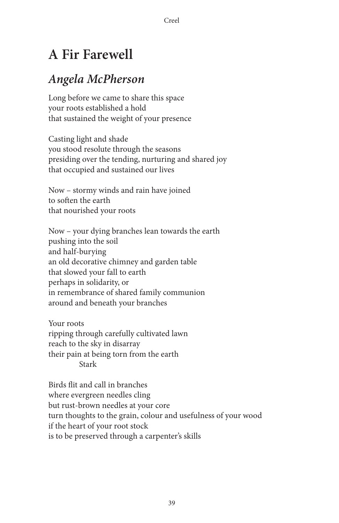## **A Fir Farewell**

### *Angela McPherson*

Long before we came to share this space your roots established a hold that sustained the weight of your presence

Casting light and shade you stood resolute through the seasons presiding over the tending, nurturing and shared joy that occupied and sustained our lives

Now – stormy winds and rain have joined to soften the earth that nourished your roots

Now – your dying branches lean towards the earth pushing into the soil and half-burying an old decorative chimney and garden table that slowed your fall to earth perhaps in solidarity, or in remembrance of shared family communion around and beneath your branches

Your roots ripping through carefully cultivated lawn reach to the sky in disarray their pain at being torn from the earth Stark

Birds flit and call in branches where evergreen needles cling but rust-brown needles at your core turn thoughts to the grain, colour and usefulness of your wood if the heart of your root stock is to be preserved through a carpenter's skills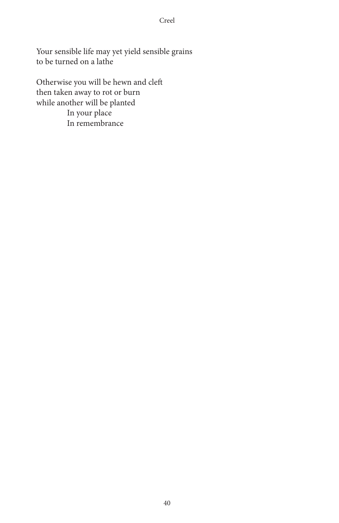Your sensible life may yet yield sensible grains to be turned on a lathe

Otherwise you will be hewn and cleft then taken away to rot or burn while another will be planted In your place In remembrance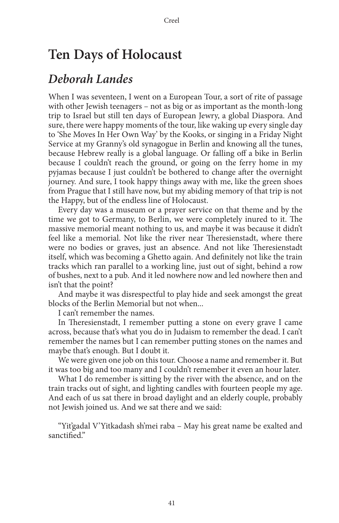#### **Ten Days of Holocaust**

#### *Deborah Landes*

When I was seventeen, I went on a European Tour, a sort of rite of passage with other Jewish teenagers – not as big or as important as the month-long trip to Israel but still ten days of European Jewry, a global Diaspora. And sure, there were happy moments of the tour, like waking up every single day to 'She Moves In Her Own Way' by the Kooks, or singing in a Friday Night Service at my Granny's old synagogue in Berlin and knowing all the tunes, because Hebrew really is a global language. Or falling off a bike in Berlin because I couldn't reach the ground, or going on the ferry home in my pyjamas because I just couldn't be bothered to change after the overnight journey. And sure, I took happy things away with me, like the green shoes from Prague that I still have now, but my abiding memory of that trip is not the Happy, but of the endless line of Holocaust.

Every day was a museum or a prayer service on that theme and by the time we got to Germany, to Berlin, we were completely inured to it. The massive memorial meant nothing to us, and maybe it was because it didn't feel like a memorial. Not like the river near Theresienstadt, where there were no bodies or graves, just an absence. And not like Theresienstadt itself, which was becoming a Ghetto again. And definitely not like the train tracks which ran parallel to a working line, just out of sight, behind a row of bushes, next to a pub. And it led nowhere now and led nowhere then and isn't that the point?

And maybe it was disrespectful to play hide and seek amongst the great blocks of the Berlin Memorial but not when...

I can't remember the names.

In Theresienstadt, I remember putting a stone on every grave I came across, because that's what you do in Judaism to remember the dead. I can't remember the names but I can remember putting stones on the names and maybe that's enough. But I doubt it.

We were given one job on this tour. Choose a name and remember it. But it was too big and too many and I couldn't remember it even an hour later.

What I do remember is sitting by the river with the absence, and on the train tracks out of sight, and lighting candles with fourteen people my age. And each of us sat there in broad daylight and an elderly couple, probably not Jewish joined us. And we sat there and we said:

"Yit'gadal V'Yitkadash sh'mei raba – May his great name be exalted and sanctified."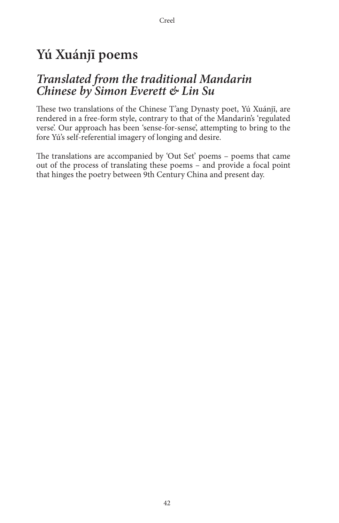## **Yú Xuánjī poems**

#### *Translated from the traditional Mandarin Chinese by Simon Everett & Lin Su*

These two translations of the Chinese T'ang Dynasty poet, Yú Xuánjī, are rendered in a free-form style, contrary to that of the Mandarin's 'regulated verse'. Our approach has been 'sense-for-sense', attempting to bring to the fore Yú's self-referential imagery of longing and desire.

The translations are accompanied by 'Out Set' poems – poems that came out of the process of translating these poems – and provide a focal point that hinges the poetry between 9th Century China and present day.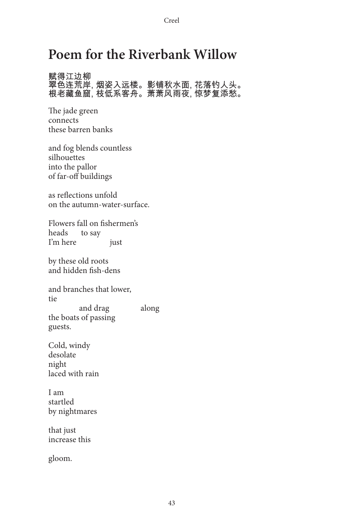## **Poem for the Riverbank Willow**

赋得江边柳 翠色连荒岸, 烟姿入远楼。影铺秋水面, 花落钓人头。 根老藏鱼窟, 枝低系客舟。萧萧风雨夜, 惊梦复添愁。

The jade green connects these barren banks

and fog blends countless silhouettes into the pallor of far-off buildings

as reflections unfold on the autumn-water-surface.

Flowers fall on fishermen's<br>heads to say to say I'm here just

by these old roots and hidden fish-dens

and branches that lower, tie and drag along the boats of passing guests.

Cold, windy desolate night laced with rain

I am startled by nightmares

that just increase this

gloom.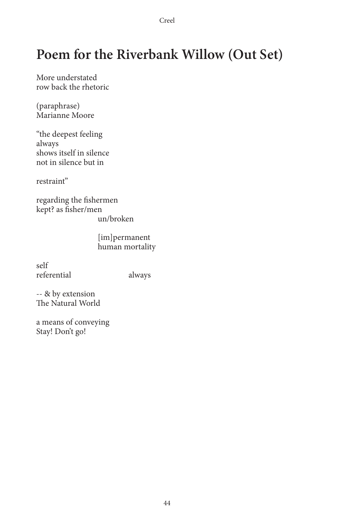#### Creel

## **Poem for the Riverbank Willow (Out Set)**

More understated row back the rhetoric

(paraphrase) Marianne Moore

"the deepest feeling always shows itself in silence not in silence but in

restraint"

regarding the fishermen kept? as fisher/men un/broken

> [im]permanent human mortality

self referential always

-- & by extension The Natural World

a means of conveying Stay! Don't go!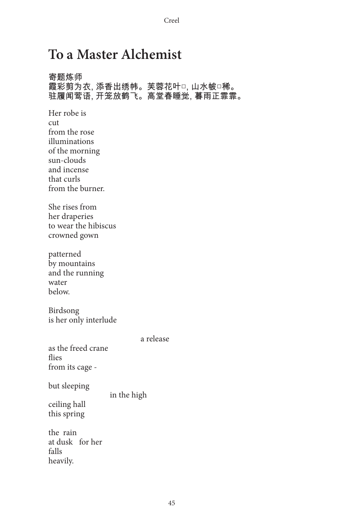## **To a Master Alchemist**

寄题炼师 霞彩剪为衣, 添香出绣帏。芙蓉花叶□, 山水帔□稀。 驻履闻莺语, 开笼放鹤飞。高堂春睡觉, 暮雨正霏霏。

Her robe is cut from the rose illuminations of the morning sun-clouds and incense that curls from the burner.

She rises from her draperies to wear the hibiscus crowned gown

patterned by mountains and the running water below.

Birdsong is her only interlude

a release

as the freed crane flies from its cage -

but sleeping

in the high

ceiling hall this spring

the rain at dusk for her falls heavily.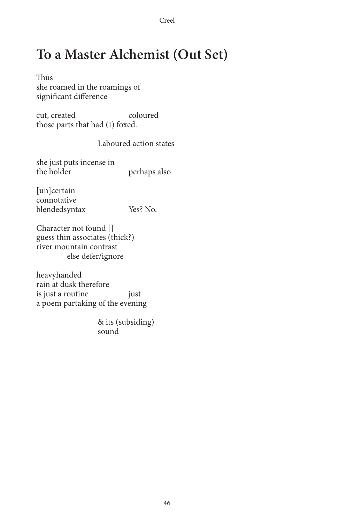Creel

# **To a Master Alchemist (Out Set)**

Thus she roamed in the roamings of significant difference

cut, created coloured those parts that had (I) foxed.

Laboured action states

she just puts incense in

perhaps also

[un]certain connotative blendedsyntax Yes? No.

Character not found [] guess thin associates (thick?) river mountain contrast else defer/ignore

heavyhanded rain at dusk therefore is just a routine just a poem partaking of the evening

> & its (subsiding) sound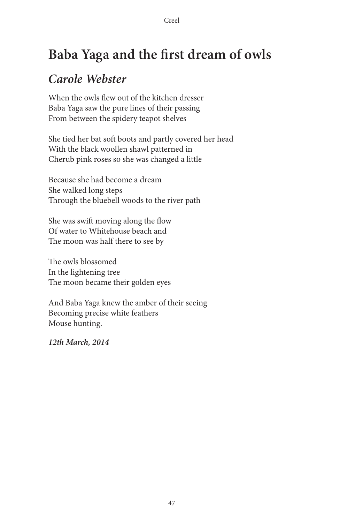## **Baba Yaga and the first dream of owls**

#### *Carole Webster*

When the owls flew out of the kitchen dresser Baba Yaga saw the pure lines of their passing From between the spidery teapot shelves

She tied her bat soft boots and partly covered her head With the black woollen shawl patterned in Cherub pink roses so she was changed a little

Because she had become a dream She walked long steps Through the bluebell woods to the river path

She was swift moving along the flow Of water to Whitehouse beach and The moon was half there to see by

The owls blossomed In the lightening tree The moon became their golden eyes

And Baba Yaga knew the amber of their seeing Becoming precise white feathers Mouse hunting.

*12th March, 2014*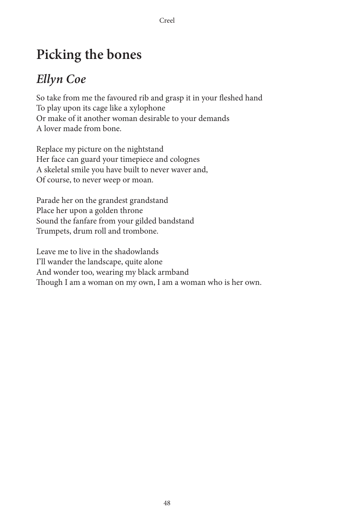## **Picking the bones**

## *Ellyn Coe*

So take from me the favoured rib and grasp it in your fleshed hand To play upon its cage like a xylophone Or make of it another woman desirable to your demands A lover made from bone.

Replace my picture on the nightstand Her face can guard your timepiece and colognes A skeletal smile you have built to never waver and, Of course, to never weep or moan.

Parade her on the grandest grandstand Place her upon a golden throne Sound the fanfare from your gilded bandstand Trumpets, drum roll and trombone.

Leave me to live in the shadowlands I'll wander the landscape, quite alone And wonder too, wearing my black armband Though I am a woman on my own, I am a woman who is her own.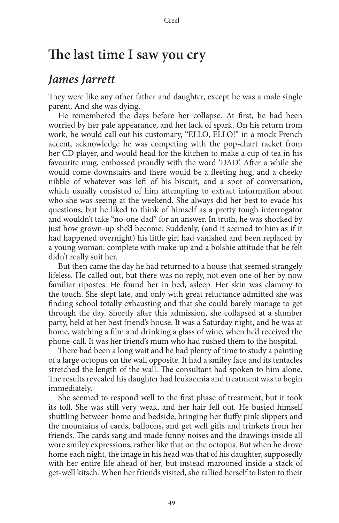#### **The last time I saw you cry**

#### *James Jarrett*

They were like any other father and daughter, except he was a male single parent. And she was dying.

He remembered the days before her collapse. At first, he had been worried by her pale appearance, and her lack of spark. On his return from work, he would call out his customary, "ELLO, ELLO!" in a mock French accent, acknowledge he was competing with the pop-chart racket from her CD player, and would head for the kitchen to make a cup of tea in his favourite mug, embossed proudly with the word 'DAD'. After a while she would come downstairs and there would be a fleeting hug, and a cheeky nibble of whatever was left of his biscuit, and a spot of conversation, which usually consisted of him attempting to extract information about who she was seeing at the weekend. She always did her best to evade his questions, but he liked to think of himself as a pretty tough interrogator and wouldn't take "no-one dad" for an answer. In truth, he was shocked by just how grown-up she'd become. Suddenly, (and it seemed to him as if it had happened overnight) his little girl had vanished and been replaced by a young woman: complete with make-up and a bolshie attitude that he felt didn't really suit her.

But then came the day he had returned to a house that seemed strangely lifeless. He called out, but there was no reply, not even one of her by now familiar ripostes. He found her in bed, asleep. Her skin was clammy to the touch. She slept late, and only with great reluctance admitted she was finding school totally exhausting and that she could barely manage to get through the day. Shortly after this admission, she collapsed at a slumber party, held at her best friend's house. It was a Saturday night, and he was at home, watching a film and drinking a glass of wine, when he'd received the phone-call. It was her friend's mum who had rushed them to the hospital.

There had been a long wait and he had plenty of time to study a painting of a large octopus on the wall opposite. It had a smiley face and its tentacles stretched the length of the wall. The consultant had spoken to him alone. The results revealed his daughter had leukaemia and treatment was to begin immediately.

She seemed to respond well to the first phase of treatment, but it took its toll. She was still very weak, and her hair fell out. He busied himself shuttling between home and bedside, bringing her fluffy pink slippers and the mountains of cards, balloons, and get well gifts and trinkets from her friends. The cards sang and made funny noises and the drawings inside all wore smiley expressions, rather like that on the octopus. But when he drove home each night, the image in his head was that of his daughter, supposedly with her entire life ahead of her, but instead marooned inside a stack of get-well kitsch. When her friends visited, she rallied herself to listen to their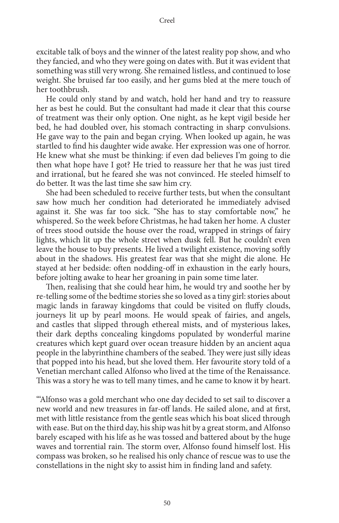excitable talk of boys and the winner of the latest reality pop show, and who they fancied, and who they were going on dates with. But it was evident that something was still very wrong. She remained listless, and continued to lose weight. She bruised far too easily, and her gums bled at the mere touch of her toothbrush.

He could only stand by and watch, hold her hand and try to reassure her as best he could. But the consultant had made it clear that this course of treatment was their only option. One night, as he kept vigil beside her bed, he had doubled over, his stomach contracting in sharp convulsions. He gave way to the pain and began crying. When looked up again, he was startled to find his daughter wide awake. Her expression was one of horror. He knew what she must be thinking: if even dad believes I'm going to die then what hope have I got? He tried to reassure her that he was just tired and irrational, but he feared she was not convinced. He steeled himself to do better. It was the last time she saw him cry.

She had been scheduled to receive further tests, but when the consultant saw how much her condition had deteriorated he immediately advised against it. She was far too sick. "She has to stay comfortable now," he whispered. So the week before Christmas, he had taken her home. A cluster of trees stood outside the house over the road, wrapped in strings of fairy lights, which lit up the whole street when dusk fell. But he couldn't even leave the house to buy presents. He lived a twilight existence, moving softly about in the shadows. His greatest fear was that she might die alone. He stayed at her bedside: often nodding-off in exhaustion in the early hours, before jolting awake to hear her groaning in pain some time later.

Then, realising that she could hear him, he would try and soothe her by re-telling some of the bedtime stories she so loved as a tiny girl: stories about magic lands in faraway kingdoms that could be visited on fluffy clouds, journeys lit up by pearl moons. He would speak of fairies, and angels, and castles that slipped through ethereal mists, and of mysterious lakes, their dark depths concealing kingdoms populated by wonderful marine creatures which kept guard over ocean treasure hidden by an ancient aqua people in the labyrinthine chambers of the seabed. They were just silly ideas that popped into his head, but she loved them. Her favourite story told of a Venetian merchant called Alfonso who lived at the time of the Renaissance. This was a story he was to tell many times, and he came to know it by heart.

"'Alfonso was a gold merchant who one day decided to set sail to discover a new world and new treasures in far-off lands. He sailed alone, and at first, met with little resistance from the gentle seas which his boat sliced through with ease. But on the third day, his ship was hit by a great storm, and Alfonso barely escaped with his life as he was tossed and battered about by the huge waves and torrential rain. The storm over, Alfonso found himself lost. His compass was broken, so he realised his only chance of rescue was to use the constellations in the night sky to assist him in finding land and safety.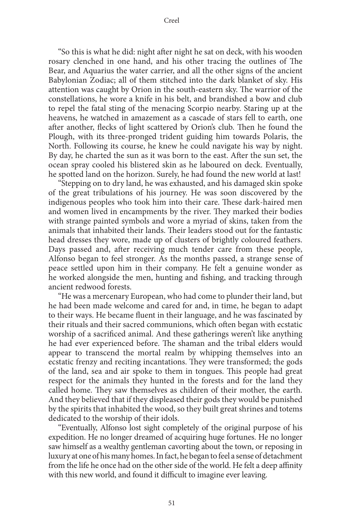"So this is what he did: night after night he sat on deck, with his wooden rosary clenched in one hand, and his other tracing the outlines of The Bear, and Aquarius the water carrier, and all the other signs of the ancient Babylonian Zodiac; all of them stitched into the dark blanket of sky. His attention was caught by Orion in the south-eastern sky. The warrior of the constellations, he wore a knife in his belt, and brandished a bow and club to repel the fatal sting of the menacing Scorpio nearby. Staring up at the heavens, he watched in amazement as a cascade of stars fell to earth, one after another, flecks of light scattered by Orion's club. Then he found the Plough, with its three-pronged trident guiding him towards Polaris, the North. Following its course, he knew he could navigate his way by night. By day, he charted the sun as it was born to the east. After the sun set, the ocean spray cooled his blistered skin as he laboured on deck. Eventually, he spotted land on the horizon. Surely, he had found the new world at last!

"Stepping on to dry land, he was exhausted, and his damaged skin spoke of the great tribulations of his journey. He was soon discovered by the indigenous peoples who took him into their care. These dark-haired men and women lived in encampments by the river. They marked their bodies with strange painted symbols and wore a myriad of skins, taken from the animals that inhabited their lands. Their leaders stood out for the fantastic head dresses they wore, made up of clusters of brightly coloured feathers. Days passed and, after receiving much tender care from these people, Alfonso began to feel stronger. As the months passed, a strange sense of peace settled upon him in their company. He felt a genuine wonder as he worked alongside the men, hunting and fishing, and tracking through ancient redwood forests.

"He was a mercenary European, who had come to plunder their land, but he had been made welcome and cared for and, in time, he began to adapt to their ways. He became fluent in their language, and he was fascinated by their rituals and their sacred communions, which often began with ecstatic worship of a sacrificed animal. And these gatherings weren't like anything he had ever experienced before. The shaman and the tribal elders would appear to transcend the mortal realm by whipping themselves into an ecstatic frenzy and reciting incantations. They were transformed; the gods of the land, sea and air spoke to them in tongues. This people had great respect for the animals they hunted in the forests and for the land they called home. They saw themselves as children of their mother, the earth. And they believed that if they displeased their gods they would be punished by the spirits that inhabited the wood, so they built great shrines and totems dedicated to the worship of their idols.

"Eventually, Alfonso lost sight completely of the original purpose of his expedition. He no longer dreamed of acquiring huge fortunes. He no longer saw himself as a wealthy gentleman cavorting about the town, or reposing in luxury at one of his many homes. In fact, he began to feel a sense of detachment from the life he once had on the other side of the world. He felt a deep affinity with this new world, and found it difficult to imagine ever leaving.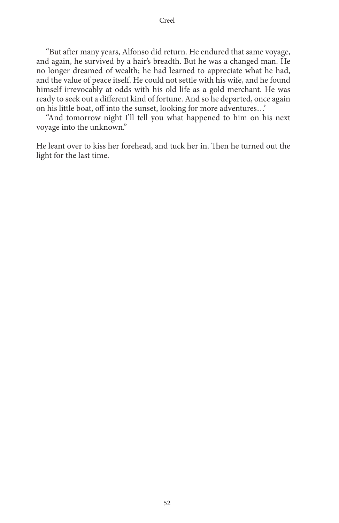"But after many years, Alfonso did return. He endured that same voyage, and again, he survived by a hair's breadth. But he was a changed man. He no longer dreamed of wealth; he had learned to appreciate what he had, and the value of peace itself. He could not settle with his wife, and he found himself irrevocably at odds with his old life as a gold merchant. He was ready to seek out a different kind of fortune. And so he departed, once again on his little boat, off into the sunset, looking for more adventures…'

"And tomorrow night I'll tell you what happened to him on his next voyage into the unknown."

He leant over to kiss her forehead, and tuck her in. Then he turned out the light for the last time.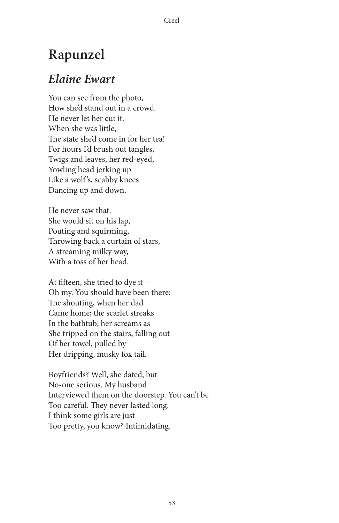## **Rapunzel**

#### *Elaine Ewart*

You can see from the photo, How she'd stand out in a crowd. He never let her cut it. When she was little, The state she'd come in for her tea! For hours I'd brush out tangles, Twigs and leaves, her red-eyed, Yowling head jerking up Like a wolf 's, scabby knees Dancing up and down.

He never saw that. She would sit on his lap, Pouting and squirming, Throwing back a curtain of stars, A streaming milky way, With a toss of her head.

At fifteen, she tried to dye it – Oh my. You should have been there: The shouting, when her dad Came home; the scarlet streaks In the bathtub; her screams as She tripped on the stairs, falling out Of her towel, pulled by Her dripping, musky fox tail.

Boyfriends? Well, she dated, but No-one serious. My husband Interviewed them on the doorstep. You can't be Too careful. They never lasted long. I think some girls are just Too pretty, you know? Intimidating.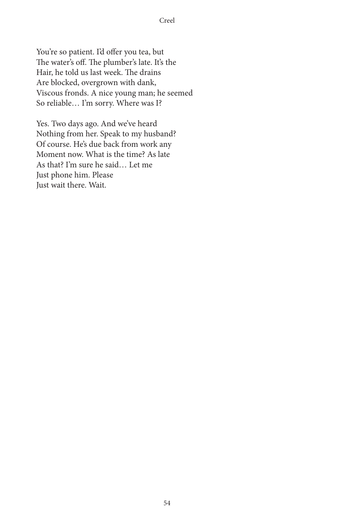You're so patient. I'd offer you tea, but The water's off. The plumber's late. It's the Hair, he told us last week. The drains Are blocked, overgrown with dank, Viscous fronds. A nice young man; he seemed So reliable… I'm sorry. Where was I?

Yes. Two days ago. And we've heard Nothing from her. Speak to my husband? Of course. He's due back from work any Moment now. What is the time? As late As that? I'm sure he said… Let me Just phone him. Please Just wait there. Wait.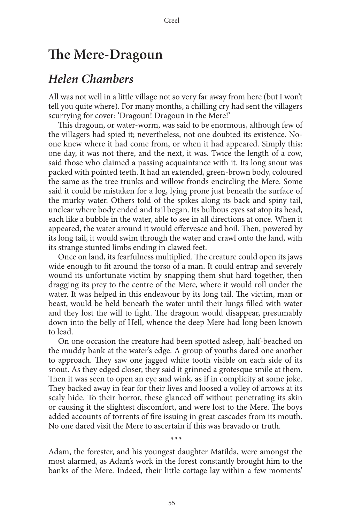### **The Mere-Dragoun**

#### *Helen Chambers*

All was not well in a little village not so very far away from here (but I won't tell you quite where). For many months, a chilling cry had sent the villagers scurrying for cover: 'Dragoun! Dragoun in the Mere!'

This dragoun, or water-worm, was said to be enormous, although few of the villagers had spied it; nevertheless, not one doubted its existence. Noone knew where it had come from, or when it had appeared. Simply this: one day, it was not there, and the next, it was. Twice the length of a cow, said those who claimed a passing acquaintance with it. Its long snout was packed with pointed teeth. It had an extended, green-brown body, coloured the same as the tree trunks and willow fronds encircling the Mere. Some said it could be mistaken for a log, lying prone just beneath the surface of the murky water. Others told of the spikes along its back and spiny tail, unclear where body ended and tail began. Its bulbous eyes sat atop its head, each like a bubble in the water, able to see in all directions at once. When it appeared, the water around it would effervesce and boil. Then, powered by its long tail, it would swim through the water and crawl onto the land, with its strange stunted limbs ending in clawed feet.

Once on land, its fearfulness multiplied. The creature could open its jaws wide enough to fit around the torso of a man. It could entrap and severely wound its unfortunate victim by snapping them shut hard together, then dragging its prey to the centre of the Mere, where it would roll under the water. It was helped in this endeavour by its long tail. The victim, man or beast, would be held beneath the water until their lungs filled with water and they lost the will to fight. The dragoun would disappear, presumably down into the belly of Hell, whence the deep Mere had long been known to lead.

On one occasion the creature had been spotted asleep, half-beached on the muddy bank at the water's edge. A group of youths dared one another to approach. They saw one jagged white tooth visible on each side of its snout. As they edged closer, they said it grinned a grotesque smile at them. Then it was seen to open an eye and wink, as if in complicity at some joke. They backed away in fear for their lives and loosed a volley of arrows at its scaly hide. To their horror, these glanced off without penetrating its skin or causing it the slightest discomfort, and were lost to the Mere. The boys added accounts of torrents of fire issuing in great cascades from its mouth. No one dared visit the Mere to ascertain if this was bravado or truth.

Adam, the forester, and his youngest daughter Matilda, were amongst the most alarmed, as Adam's work in the forest constantly brought him to the banks of the Mere. Indeed, their little cottage lay within a few moments'

\*\*\*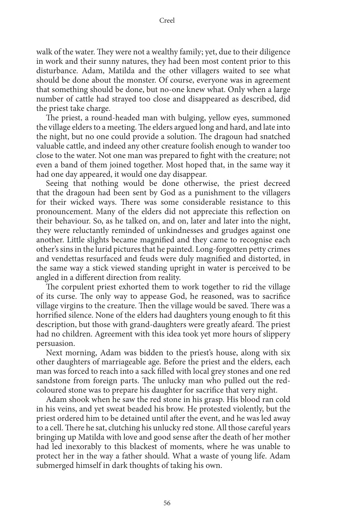walk of the water. They were not a wealthy family; yet, due to their diligence in work and their sunny natures, they had been most content prior to this disturbance. Adam, Matilda and the other villagers waited to see what should be done about the monster. Of course, everyone was in agreement that something should be done, but no-one knew what. Only when a large number of cattle had strayed too close and disappeared as described, did the priest take charge.

The priest, a round-headed man with bulging, yellow eyes, summoned the village elders to a meeting. The elders argued long and hard, and late into the night, but no one could provide a solution. The dragoun had snatched valuable cattle, and indeed any other creature foolish enough to wander too close to the water. Not one man was prepared to fight with the creature; not even a band of them joined together. Most hoped that, in the same way it had one day appeared, it would one day disappear.

Seeing that nothing would be done otherwise, the priest decreed that the dragoun had been sent by God as a punishment to the villagers for their wicked ways. There was some considerable resistance to this pronouncement. Many of the elders did not appreciate this reflection on their behaviour. So, as he talked on, and on, later and later into the night, they were reluctantly reminded of unkindnesses and grudges against one another. Little slights became magnified and they came to recognise each other's sins in the lurid pictures that he painted. Long-forgotten petty crimes and vendettas resurfaced and feuds were duly magnified and distorted, in the same way a stick viewed standing upright in water is perceived to be angled in a different direction from reality.

The corpulent priest exhorted them to work together to rid the village of its curse. The only way to appease God, he reasoned, was to sacrifice village virgins to the creature. Then the village would be saved. There was a horrified silence. None of the elders had daughters young enough to fit this description, but those with grand-daughters were greatly afeard. The priest had no children. Agreement with this idea took yet more hours of slippery persuasion.

Next morning, Adam was bidden to the priest's house, along with six other daughters of marriageable age. Before the priest and the elders, each man was forced to reach into a sack filled with local grey stones and one red sandstone from foreign parts. The unlucky man who pulled out the redcoloured stone was to prepare his daughter for sacrifice that very night.

Adam shook when he saw the red stone in his grasp. His blood ran cold in his veins, and yet sweat beaded his brow. He protested violently, but the priest ordered him to be detained until after the event, and he was led away to a cell. There he sat, clutching his unlucky red stone. All those careful years bringing up Matilda with love and good sense after the death of her mother had led inexorably to this blackest of moments, where he was unable to protect her in the way a father should. What a waste of young life. Adam submerged himself in dark thoughts of taking his own.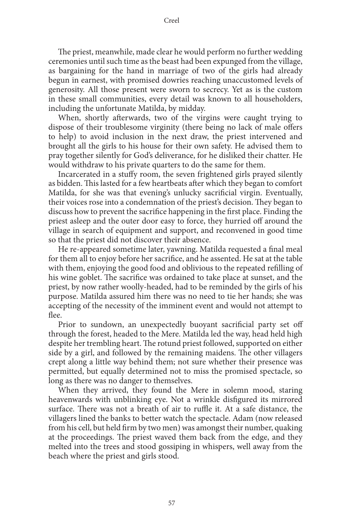The priest, meanwhile, made clear he would perform no further wedding ceremonies until such time as the beast had been expunged from the village, as bargaining for the hand in marriage of two of the girls had already begun in earnest, with promised dowries reaching unaccustomed levels of generosity. All those present were sworn to secrecy. Yet as is the custom in these small communities, every detail was known to all householders, including the unfortunate Matilda, by midday.

When, shortly afterwards, two of the virgins were caught trying to dispose of their troublesome virginity (there being no lack of male offers to help) to avoid inclusion in the next draw, the priest intervened and brought all the girls to his house for their own safety. He advised them to pray together silently for God's deliverance, for he disliked their chatter. He would withdraw to his private quarters to do the same for them.

Incarcerated in a stuffy room, the seven frightened girls prayed silently as bidden. This lasted for a few heartbeats after which they began to comfort Matilda, for she was that evening's unlucky sacrificial virgin. Eventually, their voices rose into a condemnation of the priest's decision. They began to discuss how to prevent the sacrifice happening in the first place. Finding the priest asleep and the outer door easy to force, they hurried off around the village in search of equipment and support, and reconvened in good time so that the priest did not discover their absence.

He re-appeared sometime later, yawning. Matilda requested a final meal for them all to enjoy before her sacrifice, and he assented. He sat at the table with them, enjoying the good food and oblivious to the repeated refilling of his wine goblet. The sacrifice was ordained to take place at sunset, and the priest, by now rather woolly-headed, had to be reminded by the girls of his purpose. Matilda assured him there was no need to tie her hands; she was accepting of the necessity of the imminent event and would not attempt to flee.

Prior to sundown, an unexpectedly buoyant sacrificial party set off through the forest, headed to the Mere. Matilda led the way, head held high despite her trembling heart. The rotund priest followed, supported on either side by a girl, and followed by the remaining maidens. The other villagers crept along a little way behind them; not sure whether their presence was permitted, but equally determined not to miss the promised spectacle, so long as there was no danger to themselves.

When they arrived, they found the Mere in solemn mood, staring heavenwards with unblinking eye. Not a wrinkle disfigured its mirrored surface. There was not a breath of air to ruffle it. At a safe distance, the villagers lined the banks to better watch the spectacle. Adam (now released from his cell, but held firm by two men) was amongst their number, quaking at the proceedings. The priest waved them back from the edge, and they melted into the trees and stood gossiping in whispers, well away from the beach where the priest and girls stood.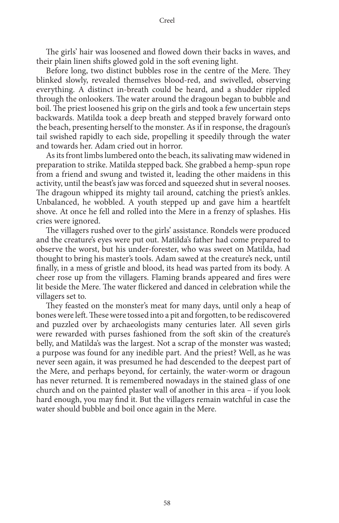The girls' hair was loosened and flowed down their backs in waves, and their plain linen shifts glowed gold in the soft evening light.

Before long, two distinct bubbles rose in the centre of the Mere. They blinked slowly, revealed themselves blood-red, and swivelled, observing everything. A distinct in-breath could be heard, and a shudder rippled through the onlookers. The water around the dragoun began to bubble and boil. The priest loosened his grip on the girls and took a few uncertain steps backwards. Matilda took a deep breath and stepped bravely forward onto the beach, presenting herself to the monster. As if in response, the dragoun's tail swished rapidly to each side, propelling it speedily through the water and towards her. Adam cried out in horror.

As its front limbs lumbered onto the beach, its salivating maw widened in preparation to strike. Matilda stepped back. She grabbed a hemp-spun rope from a friend and swung and twisted it, leading the other maidens in this activity, until the beast's jaw was forced and squeezed shut in several nooses. The dragoun whipped its mighty tail around, catching the priest's ankles. Unbalanced, he wobbled. A youth stepped up and gave him a heartfelt shove. At once he fell and rolled into the Mere in a frenzy of splashes. His cries were ignored.

The villagers rushed over to the girls' assistance. Rondels were produced and the creature's eyes were put out. Matilda's father had come prepared to observe the worst, but his under-forester, who was sweet on Matilda, had thought to bring his master's tools. Adam sawed at the creature's neck, until finally, in a mess of gristle and blood, its head was parted from its body. A cheer rose up from the villagers. Flaming brands appeared and fires were lit beside the Mere. The water flickered and danced in celebration while the villagers set to.

They feasted on the monster's meat for many days, until only a heap of bones were left. These were tossed into a pit and forgotten, to be rediscovered and puzzled over by archaeologists many centuries later. All seven girls were rewarded with purses fashioned from the soft skin of the creature's belly, and Matilda's was the largest. Not a scrap of the monster was wasted; a purpose was found for any inedible part. And the priest? Well, as he was never seen again, it was presumed he had descended to the deepest part of the Mere, and perhaps beyond, for certainly, the water-worm or dragoun has never returned. It is remembered nowadays in the stained glass of one church and on the painted plaster wall of another in this area – if you look hard enough, you may find it. But the villagers remain watchful in case the water should bubble and boil once again in the Mere.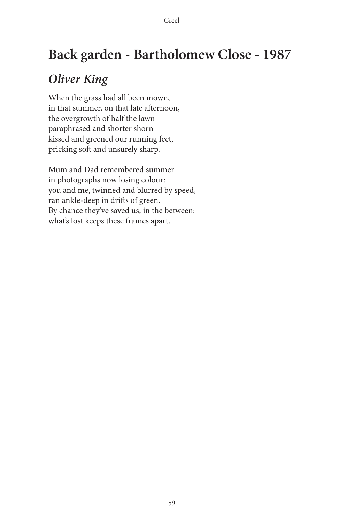# **Back garden - Bartholomew Close - 1987**

## *Oliver King*

When the grass had all been mown, in that summer, on that late afternoon, the overgrowth of half the lawn paraphrased and shorter shorn kissed and greened our running feet, pricking soft and unsurely sharp.

Mum and Dad remembered summer in photographs now losing colour: you and me, twinned and blurred by speed, ran ankle-deep in drifts of green. By chance they've saved us, in the between: what's lost keeps these frames apart.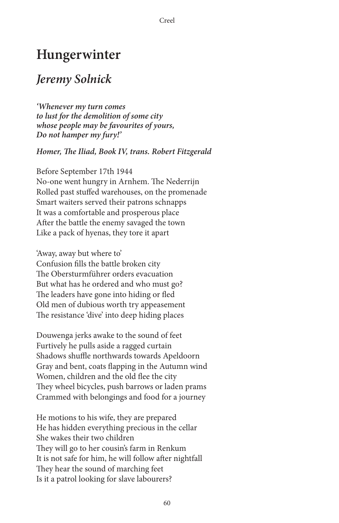## **Hungerwinter**

#### *Jeremy Solnick*

*'Whenever my turn comes to lust for the demolition of some city whose people may be favourites of yours, Do not hamper my fury!'*

*Homer, The Iliad, Book IV, trans. Robert Fitzgerald*

Before September 17th 1944 No-one went hungry in Arnhem. The Nederrijn Rolled past stuffed warehouses, on the promenade Smart waiters served their patrons schnapps It was a comfortable and prosperous place After the battle the enemy savaged the town Like a pack of hyenas, they tore it apart

'Away, away but where to' Confusion fills the battle broken city The Obersturmführer orders evacuation But what has he ordered and who must go? The leaders have gone into hiding or fled Old men of dubious worth try appeasement The resistance 'dive' into deep hiding places

Douwenga jerks awake to the sound of feet Furtively he pulls aside a ragged curtain Shadows shuffle northwards towards Apeldoorn Gray and bent, coats flapping in the Autumn wind Women, children and the old flee the city They wheel bicycles, push barrows or laden prams Crammed with belongings and food for a journey

He motions to his wife, they are prepared He has hidden everything precious in the cellar She wakes their two children They will go to her cousin's farm in Renkum It is not safe for him, he will follow after nightfall They hear the sound of marching feet Is it a patrol looking for slave labourers?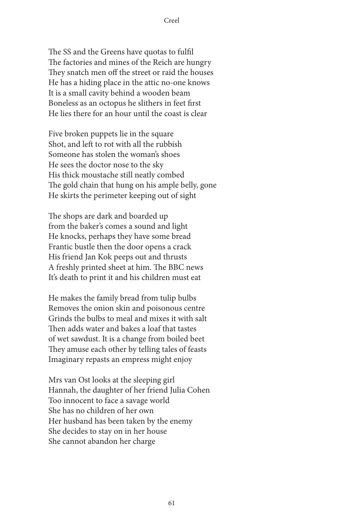The SS and the Greens have quotas to fulfil The factories and mines of the Reich are hungry They snatch men off the street or raid the houses He has a hiding place in the attic no-one knows It is a small cavity behind a wooden beam Boneless as an octopus he slithers in feet first He lies there for an hour until the coast is clear

Five broken puppets lie in the square Shot, and left to rot with all the rubbish Someone has stolen the woman's shoes He sees the doctor nose to the sky His thick moustache still neatly combed The gold chain that hung on his ample belly, gone He skirts the perimeter keeping out of sight

The shops are dark and boarded up from the baker's comes a sound and light He knocks, perhaps they have some bread Frantic bustle then the door opens a crack His friend Jan Kok peeps out and thrusts A freshly printed sheet at him. The BBC news It's death to print it and his children must eat

He makes the family bread from tulip bulbs Removes the onion skin and poisonous centre Grinds the bulbs to meal and mixes it with salt Then adds water and bakes a loaf that tastes of wet sawdust. It is a change from boiled beet They amuse each other by telling tales of feasts Imaginary repasts an empress might enjoy

Mrs van Ost looks at the sleeping girl Hannah, the daughter of her friend Julia Cohen Too innocent to face a savage world She has no children of her own Her husband has been taken by the enemy She decides to stay on in her house She cannot abandon her charge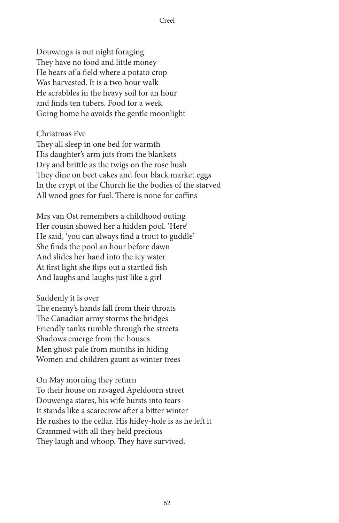Douwenga is out night foraging They have no food and little money He hears of a field where a potato crop Was harvested. It is a two hour walk He scrabbles in the heavy soil for an hour and finds ten tubers. Food for a week Going home he avoids the gentle moonlight

Christmas Eve

They all sleep in one bed for warmth His daughter's arm juts from the blankets Dry and brittle as the twigs on the rose bush They dine on beet cakes and four black market eggs In the crypt of the Church lie the bodies of the starved All wood goes for fuel. There is none for coffins

Mrs van Ost remembers a childhood outing Her cousin showed her a hidden pool. 'Here' He said, 'you can always find a trout to guddle' She finds the pool an hour before dawn And slides her hand into the icy water At first light she flips out a startled fish And laughs and laughs just like a girl

Suddenly it is over

The enemy's hands fall from their throats The Canadian army storms the bridges Friendly tanks rumble through the streets Shadows emerge from the houses Men ghost pale from months in hiding Women and children gaunt as winter trees

On May morning they return To their house on ravaged Apeldoorn street Douwenga stares, his wife bursts into tears It stands like a scarecrow after a bitter winter He rushes to the cellar. His hidey-hole is as he left it Crammed with all they held precious They laugh and whoop. They have survived.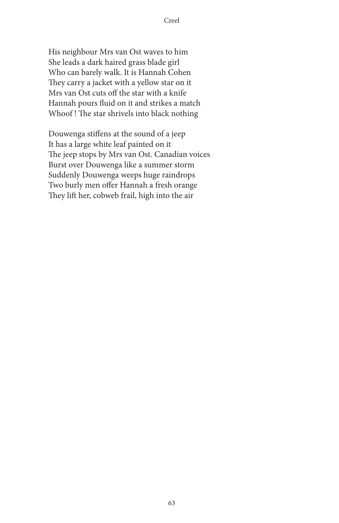His neighbour Mrs van Ost waves to him She leads a dark haired grass blade girl Who can barely walk. It is Hannah Cohen They carry a jacket with a yellow star on it Mrs van Ost cuts off the star with a knife Hannah pours fluid on it and strikes a match Whoof ! The star shrivels into black nothing

Douwenga stiffens at the sound of a jeep It has a large white leaf painted on it The jeep stops by Mrs van Ost. Canadian voices Burst over Douwenga like a summer storm Suddenly Douwenga weeps huge raindrops Two burly men offer Hannah a fresh orange They lift her, cobweb frail, high into the air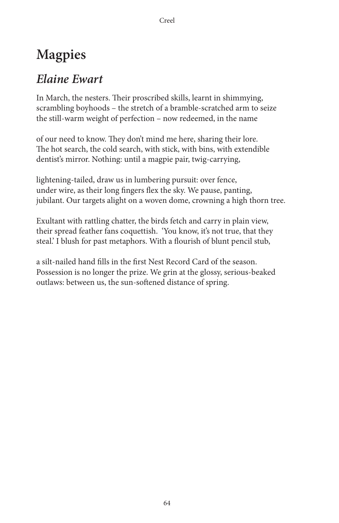## **Magpies**

## *Elaine Ewart*

In March, the nesters. Their proscribed skills, learnt in shimmying, scrambling boyhoods – the stretch of a bramble-scratched arm to seize the still-warm weight of perfection – now redeemed, in the name

of our need to know. They don't mind me here, sharing their lore. The hot search, the cold search, with stick, with bins, with extendible dentist's mirror. Nothing: until a magpie pair, twig-carrying,

lightening-tailed, draw us in lumbering pursuit: over fence, under wire, as their long fingers flex the sky. We pause, panting, jubilant. Our targets alight on a woven dome, crowning a high thorn tree.

Exultant with rattling chatter, the birds fetch and carry in plain view, their spread feather fans coquettish. 'You know, it's not true, that they steal.' I blush for past metaphors. With a flourish of blunt pencil stub,

a silt-nailed hand fills in the first Nest Record Card of the season. Possession is no longer the prize. We grin at the glossy, serious-beaked outlaws: between us, the sun-softened distance of spring.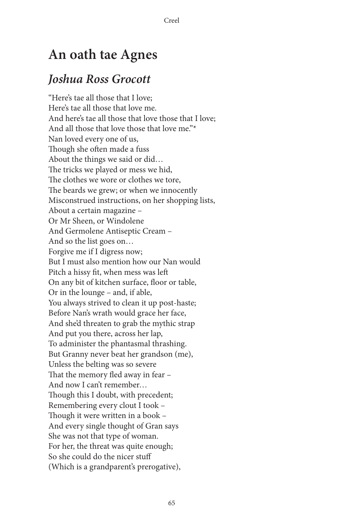## **An oath tae Agnes**

#### *Joshua Ross Grocott*

"Here's tae all those that I love; Here's tae all those that love me. And here's tae all those that love those that I love; And all those that love those that love me."\* Nan loved every one of us, Though she often made a fuss About the things we said or did… The tricks we played or mess we hid, The clothes we wore or clothes we tore, The beards we grew; or when we innocently Misconstrued instructions, on her shopping lists, About a certain magazine – Or Mr Sheen, or Windolene And Germolene Antiseptic Cream – And so the list goes on… Forgive me if I digress now; But I must also mention how our Nan would Pitch a hissy fit, when mess was left On any bit of kitchen surface, floor or table, Or in the lounge – and, if able, You always strived to clean it up post-haste; Before Nan's wrath would grace her face, And she'd threaten to grab the mythic strap And put you there, across her lap, To administer the phantasmal thrashing. But Granny never beat her grandson (me), Unless the belting was so severe That the memory fled away in fear – And now I can't remember… Though this I doubt, with precedent; Remembering every clout I took – Though it were written in a book – And every single thought of Gran says She was not that type of woman. For her, the threat was quite enough; So she could do the nicer stuff (Which is a grandparent's prerogative),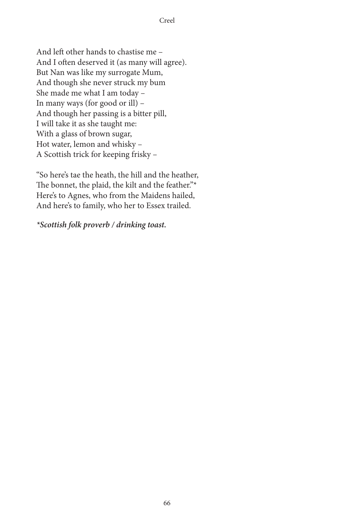And left other hands to chastise me – And I often deserved it (as many will agree). But Nan was like my surrogate Mum, And though she never struck my bum She made me what I am today – In many ways (for good or ill) – And though her passing is a bitter pill, I will take it as she taught me: With a glass of brown sugar, Hot water, lemon and whisky – A Scottish trick for keeping frisky –

"So here's tae the heath, the hill and the heather, The bonnet, the plaid, the kilt and the feather."\* Here's to Agnes, who from the Maidens hailed, And here's to family, who her to Essex trailed.

*\*Scottish folk proverb / drinking toast.*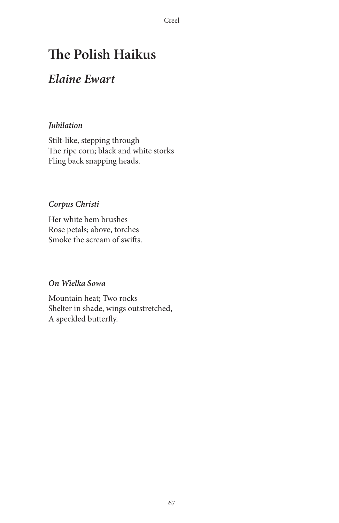# **The Polish Haikus**

### *Elaine Ewart*

#### *Jubilation*

Stilt-like, stepping through The ripe corn; black and white storks Fling back snapping heads.

### *Corpus Christi*

Her white hem brushes Rose petals; above, torches Smoke the scream of swifts.

#### *On Wielka Sowa*

Mountain heat; Two rocks Shelter in shade, wings outstretched, A speckled butterfly.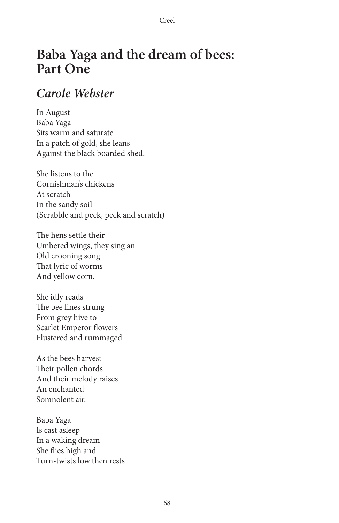#### Creel

## **Baba Yaga and the dream of bees: Part One**

### *Carole Webster*

In August Baba Yaga Sits warm and saturate In a patch of gold, she leans Against the black boarded shed.

She listens to the Cornishman's chickens At scratch In the sandy soil (Scrabble and peck, peck and scratch)

The hens settle their Umbered wings, they sing an Old crooning song That lyric of worms And yellow corn.

She idly reads The bee lines strung From grey hive to Scarlet Emperor flowers Flustered and rummaged

As the bees harvest Their pollen chords And their melody raises An enchanted Somnolent air.

Baba Yaga Is cast asleep In a waking dream She flies high and Turn-twists low then rests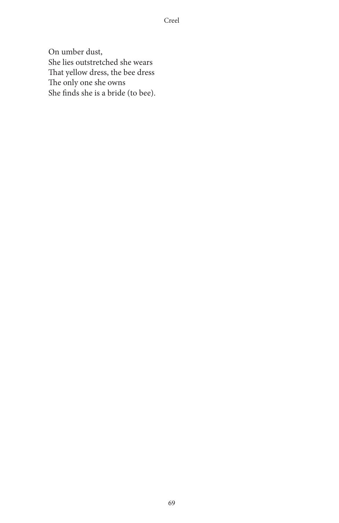On umber dust, She lies outstretched she wears That yellow dress, the bee dress The only one she owns She finds she is a bride (to bee).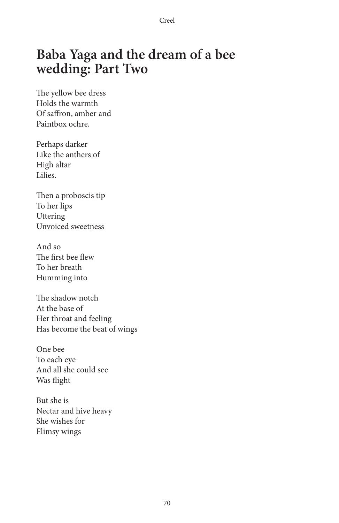## **Baba Yaga and the dream of a bee wedding: Part Two**

The yellow bee dress Holds the warmth Of saffron, amber and Paintbox ochre.

Perhaps darker Like the anthers of High altar Lilies.

Then a proboscis tip To her lips Uttering Unvoiced sweetness

And so The first bee flew To her breath Humming into

The shadow notch At the base of Her throat and feeling Has become the beat of wings

One bee To each eye And all she could see Was flight

But she is Nectar and hive heavy She wishes for Flimsy wings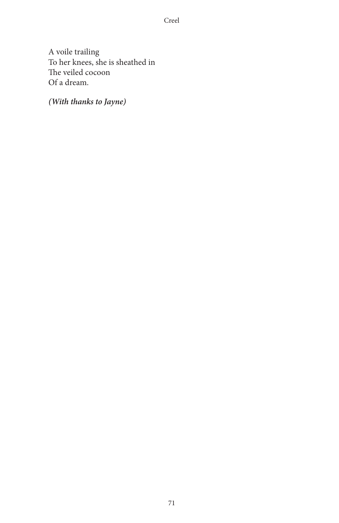#### Creel

A voile trailing To her knees, she is sheathed in The veiled cocoon Of a dream.

*(With thanks to Jayne)*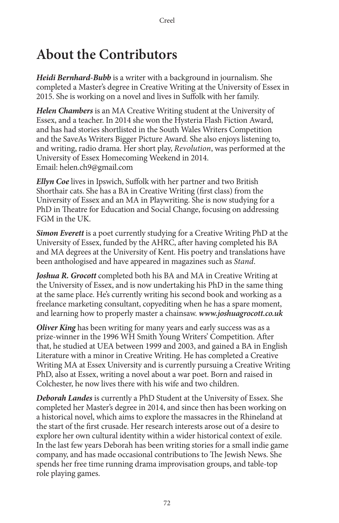# **About the Contributors**

*Heidi Bernhard-Bubb* is a writer with a background in journalism. She completed a Master's degree in Creative Writing at the University of Essex in 2015. She is working on a novel and lives in Suffolk with her family.

*Helen Chambers* is an MA Creative Writing student at the University of Essex, and a teacher. In 2014 she won the Hysteria Flash Fiction Award, and has had stories shortlisted in the South Wales Writers Competition and the SaveAs Writers Bigger Picture Award. She also enjoys listening to, and writing, radio drama. Her short play, *Revolution*, was performed at the University of Essex Homecoming Weekend in 2014. Email: helen.ch9@gmail.com

*Ellyn Coe* lives in Ipswich, Suffolk with her partner and two British Shorthair cats. She has a BA in Creative Writing (first class) from the University of Essex and an MA in Playwriting. She is now studying for a PhD in Theatre for Education and Social Change, focusing on addressing FGM in the UK.

*Simon Everett* is a poet currently studying for a Creative Writing PhD at the University of Essex, funded by the AHRC, after having completed his BA and MA degrees at the University of Kent. His poetry and translations have been anthologised and have appeared in magazines such as *Stand*.

*Joshua R. Grocott* completed both his BA and MA in Creative Writing at the University of Essex, and is now undertaking his PhD in the same thing at the same place. He's currently writing his second book and working as a freelance marketing consultant, copyediting when he has a spare moment, and learning how to properly master a chainsaw. *www.joshuagrocott.co.uk*

*Oliver King* has been writing for many years and early success was as a prize-winner in the 1996 WH Smith Young Writers' Competition. After that, he studied at UEA between 1999 and 2003, and gained a BA in English Literature with a minor in Creative Writing. He has completed a Creative Writing MA at Essex University and is currently pursuing a Creative Writing PhD, also at Essex, writing a novel about a war poet. Born and raised in Colchester, he now lives there with his wife and two children.

*Deborah Landes* is currently a PhD Student at the University of Essex. She completed her Master's degree in 2014, and since then has been working on a historical novel, which aims to explore the massacres in the Rhineland at the start of the first crusade. Her research interests arose out of a desire to explore her own cultural identity within a wider historical context of exile. In the last few years Deborah has been writing stories for a small indie game company, and has made occasional contributions to The Jewish News. She spends her free time running drama improvisation groups, and table-top role playing games.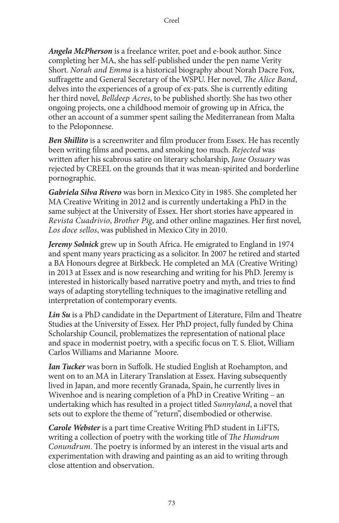*Angela McPherson* is a freelance writer, poet and e-book author. Since completing her MA, she has self-published under the pen name Verity Short. *Norah and Emma* is a historical biography about Norah Dacre Fox, suffragette and General Secretary of the WSPU. Her novel, *The Alice Band*, delves into the experiences of a group of ex-pats. She is currently editing her third novel, *Belldeep Acres*, to be published shortly. She has two other ongoing projects, one a childhood memoir of growing up in Africa, the other an account of a summer spent sailing the Mediterranean from Malta to the Peloponnese.

*Ben Shillito* is a screenwriter and film producer from Essex. He has recently been writing films and poems, and smoking too much. *Rejected* was written after his scabrous satire on literary scholarship, *Jane Ossuary* was rejected by CREEL on the grounds that it was mean-spirited and borderline pornographic.

*Gabriela Silva Rivero* was born in Mexico City in 1985. She completed her MA Creative Writing in 2012 and is currently undertaking a PhD in the same subject at the University of Essex. Her short stories have appeared in *Revista Cuadrivio*, *Brother Pig*, and other online magazines. Her first novel, *Los doce sellos*, was published in Mexico City in 2010.

*Jeremy Solnick* grew up in South Africa. He emigrated to England in 1974 and spent many years practicing as a solicitor. In 2007 he retired and started a BA Honours degree at Birkbeck. He completed an MA (Creative Writing) in 2013 at Essex and is now researching and writing for his PhD. Jeremy is interested in historically based narrative poetry and myth, and tries to find ways of adapting storytelling techniques to the imaginative retelling and interpretation of contemporary events.

*Lin Su* is a PhD candidate in the Department of Literature, Film and Theatre Studies at the University of Essex. Her PhD project, fully funded by China Scholarship Council, problematizes the representation of national place and space in modernist poetry, with a specific focus on T. S. Eliot, William Carlos Williams and Marianne Moore.

*Ian Tucker* was born in Suffolk. He studied English at Roehampton, and went on to an MA in Literary Translation at Essex. Having subsequently lived in Japan, and more recently Granada, Spain, he currently lives in Wivenhoe and is nearing completion of a PhD in Creative Writing – an undertaking which has resulted in a project titled *Sunnyland*, a novel that sets out to explore the theme of "return", disembodied or otherwise.

*Carole Webster* is a part time Creative Writing PhD student in LiFTS, writing a collection of poetry with the working title of *The Humdrum Conundrum*. The poetry is informed by an interest in the visual arts and experimentation with drawing and painting as an aid to writing through close attention and observation.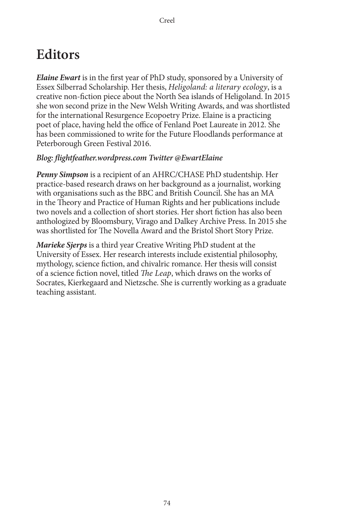# **Editors**

*Elaine Ewart* is in the first year of PhD study, sponsored by a University of Essex Silberrad Scholarship. Her thesis, *Heligoland: a literary ecology*, is a creative non-fiction piece about the North Sea islands of Heligoland. In 2015 she won second prize in the New Welsh Writing Awards, and was shortlisted for the international Resurgence Ecopoetry Prize. Elaine is a practicing poet of place, having held the office of Fenland Poet Laureate in 2012. She has been commissioned to write for the Future Floodlands performance at Peterborough Green Festival 2016.

#### *Blog: flightfeather.wordpress.com Twitter @EwartElaine*

*Penny Simpson* is a recipient of an AHRC/CHASE PhD studentship. Her practice-based research draws on her background as a journalist, working with organisations such as the BBC and British Council. She has an MA in the Theory and Practice of Human Rights and her publications include two novels and a collection of short stories. Her short fiction has also been anthologized by Bloomsbury, Virago and Dalkey Archive Press. In 2015 she was shortlisted for The Novella Award and the Bristol Short Story Prize.

*Marieke Sjerps* is a third year Creative Writing PhD student at the University of Essex. Her research interests include existential philosophy, mythology, science fiction, and chivalric romance. Her thesis will consist of a science fiction novel, titled *The Leap*, which draws on the works of Socrates, Kierkegaard and Nietzsche. She is currently working as a graduate teaching assistant.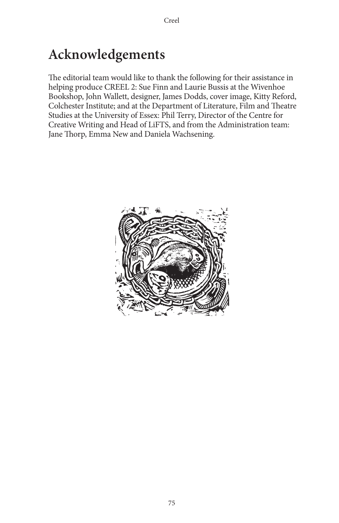# **Acknowledgements**

The editorial team would like to thank the following for their assistance in helping produce CREEL 2: Sue Finn and Laurie Bussis at the Wivenhoe Bookshop, John Wallett, designer, James Dodds, cover image, Kitty Reford, Colchester Institute; and at the Department of Literature, Film and Theatre Studies at the University of Essex: Phil Terry, Director of the Centre for Creative Writing and Head of LiFTS, and from the Administration team: Jane Thorp, Emma New and Daniela Wachsening.

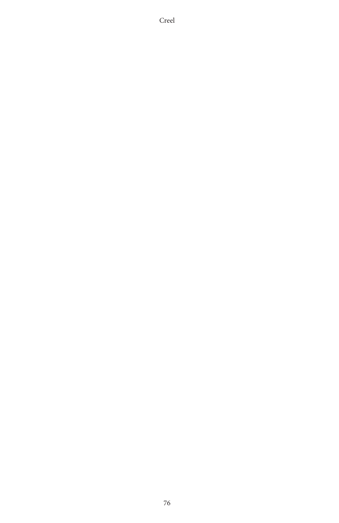#### Creel